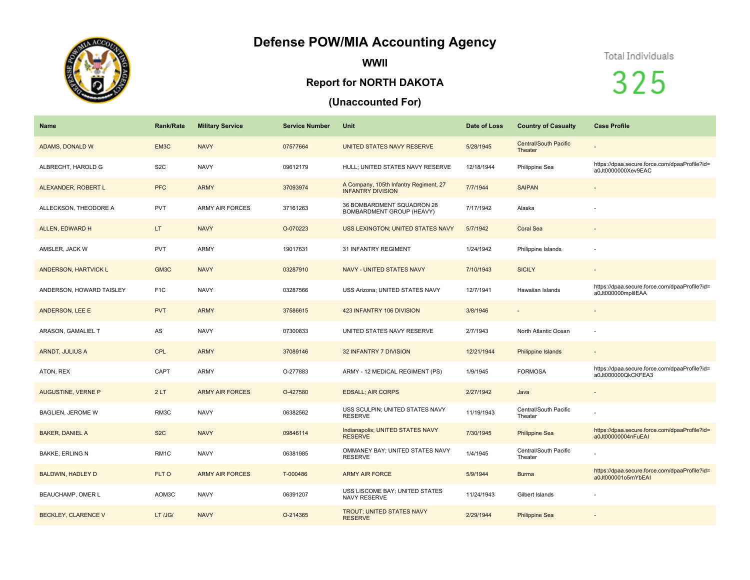## **Defense POW/MIA Accounting Agency**



**WWII**

## **Report for NORTH DAKOTA**

## **(Unaccounted For)**

## Total Individuals

325

| <b>Name</b>                 | <b>Rank/Rate</b>  | <b>Military Service</b> | <b>Service Number</b> | Unit                                                               | Date of Loss | <b>Country of Casualty</b>              | <b>Case Profile</b>                                                 |
|-----------------------------|-------------------|-------------------------|-----------------------|--------------------------------------------------------------------|--------------|-----------------------------------------|---------------------------------------------------------------------|
| ADAMS, DONALD W             | EM3C              | <b>NAVY</b>             | 07577664              | UNITED STATES NAVY RESERVE                                         | 5/28/1945    | <b>Central/South Pacific</b><br>Theater |                                                                     |
| ALBRECHT, HAROLD G          | S <sub>2</sub> C  | <b>NAVY</b>             | 09612179              | HULL; UNITED STATES NAVY RESERVE                                   | 12/18/1944   | Philippine Sea                          | https://dpaa.secure.force.com/dpaaProfile?id=<br>a0Jt0000000Xev9EAC |
| ALEXANDER, ROBERT L         | <b>PFC</b>        | <b>ARMY</b>             | 37093974              | A Company, 105th Infantry Regiment, 27<br><b>INFANTRY DIVISION</b> | 7/7/1944     | <b>SAIPAN</b>                           | $\overline{\phantom{a}}$                                            |
| ALLECKSON, THEODORE A       | <b>PVT</b>        | <b>ARMY AIR FORCES</b>  | 37161263              | 36 BOMBARDMENT SQUADRON 28<br>BOMBARDMENT GROUP (HEAVY)            | 7/17/1942    | Alaska                                  |                                                                     |
| ALLEN, EDWARD H             | LT.               | <b>NAVY</b>             | O-070223              | USS LEXINGTON; UNITED STATES NAVY                                  | 5/7/1942     | <b>Coral Sea</b>                        |                                                                     |
| AMSLER, JACK W              | <b>PVT</b>        | <b>ARMY</b>             | 19017631              | <b>31 INFANTRY REGIMENT</b>                                        | 1/24/1942    | Philippine Islands                      |                                                                     |
| <b>ANDERSON, HARTVICK L</b> | GM <sub>3</sub> C | <b>NAVY</b>             | 03287910              | NAVY - UNITED STATES NAVY                                          | 7/10/1943    | <b>SICILY</b>                           |                                                                     |
| ANDERSON, HOWARD TAISLEY    | F <sub>1</sub> C  | <b>NAVY</b>             | 03287566              | USS Arizona; UNITED STATES NAVY                                    | 12/7/1941    | Hawaiian Islands                        | https://dpaa.secure.force.com/dpaaProfile?id=<br>a0Jt000000mplilEAA |
| <b>ANDERSON, LEE E</b>      | <b>PVT</b>        | <b>ARMY</b>             | 37586615              | 423 INFANTRY 106 DIVISION                                          | 3/8/1946     |                                         | $\sim$                                                              |
| ARASON, GAMALIEL T          | AS                | <b>NAVY</b>             | 07300833              | UNITED STATES NAVY RESERVE                                         | 2/7/1943     | North Atlantic Ocean                    | $\sim$                                                              |
| ARNDT, JULIUS A             | <b>CPL</b>        | <b>ARMY</b>             | 37089146              | 32 INFANTRY 7 DIVISION                                             | 12/21/1944   | Philippine Islands                      |                                                                     |
| ATON, REX                   | CAPT              | ARMY                    | O-277883              | ARMY - 12 MEDICAL REGIMENT (PS)                                    | 1/9/1945     | <b>FORMOSA</b>                          | https://dpaa.secure.force.com/dpaaProfile?id=<br>a0Jt000000QkCKFEA3 |
| AUGUSTINE, VERNE P          | 2LT               | <b>ARMY AIR FORCES</b>  | O-427580              | <b>EDSALL; AIR CORPS</b>                                           | 2/27/1942    | Java                                    |                                                                     |
| BAGLIEN, JEROME W           | RM3C              | <b>NAVY</b>             | 06382562              | USS SCULPIN; UNITED STATES NAVY<br><b>RESERVE</b>                  | 11/19/1943   | Central/South Pacific<br>Theater        |                                                                     |
| <b>BAKER, DANIEL A</b>      | S <sub>2</sub> C  | <b>NAVY</b>             | 09846114              | Indianapolis; UNITED STATES NAVY<br><b>RESERVE</b>                 | 7/30/1945    | <b>Philippine Sea</b>                   | https://dpaa.secure.force.com/dpaaProfile?id=<br>a0Jt00000004nFuEAI |
| <b>BAKKE, ERLING N</b>      | RM <sub>1</sub> C | <b>NAVY</b>             | 06381985              | OMMANEY BAY; UNITED STATES NAVY<br><b>RESERVE</b>                  | 1/4/1945     | Central/South Pacific<br>Theater        |                                                                     |
| <b>BALDWIN, HADLEY D</b>    | FLT O             | <b>ARMY AIR FORCES</b>  | T-000486              | <b>ARMY AIR FORCE</b>                                              | 5/9/1944     | <b>Burma</b>                            | https://dpaa.secure.force.com/dpaaProfile?id=<br>a0Jt000001o5mYbEAI |
| BEAUCHAMP, OMER L           | AOM3C             | <b>NAVY</b>             | 06391207              | USS LISCOME BAY; UNITED STATES<br>NAVY RESERVE                     | 11/24/1943   | Gilbert Islands                         |                                                                     |
| <b>BECKLEY, CLARENCE V</b>  | LT /JG/           | <b>NAVY</b>             | O-214365              | <b>TROUT; UNITED STATES NAVY</b><br><b>RESERVE</b>                 | 2/29/1944    | <b>Philippine Sea</b>                   |                                                                     |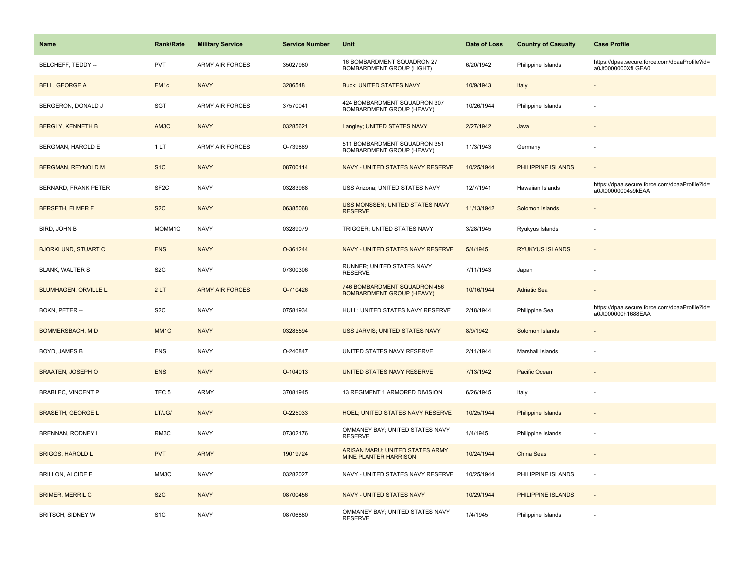| <b>Name</b>                  | Rank/Rate         | <b>Military Service</b> | <b>Service Number</b> | Unit                                                             | Date of Loss | <b>Country of Casualty</b> | <b>Case Profile</b>                                                 |
|------------------------------|-------------------|-------------------------|-----------------------|------------------------------------------------------------------|--------------|----------------------------|---------------------------------------------------------------------|
| BELCHEFF, TEDDY --           | <b>PVT</b>        | <b>ARMY AIR FORCES</b>  | 35027980              | 16 BOMBARDMENT SQUADRON 27<br>BOMBARDMENT GROUP (LIGHT)          | 6/20/1942    | Philippine Islands         | https://dpaa.secure.force.com/dpaaProfile?id=<br>a0Jt0000000XfLGEA0 |
| <b>BELL, GEORGE A</b>        | EM <sub>1c</sub>  | <b>NAVY</b>             | 3286548               | <b>Buck; UNITED STATES NAVY</b>                                  | 10/9/1943    | Italy                      |                                                                     |
| BERGERON, DONALD J           | SGT               | <b>ARMY AIR FORCES</b>  | 37570041              | 424 BOMBARDMENT SQUADRON 307<br>BOMBARDMENT GROUP (HEAVY)        | 10/26/1944   | Philippine Islands         |                                                                     |
| <b>BERGLY, KENNETH B</b>     | AM3C              | <b>NAVY</b>             | 03285621              | Langley; UNITED STATES NAVY                                      | 2/27/1942    | Java                       |                                                                     |
| BERGMAN, HAROLD E            | 1LT               | <b>ARMY AIR FORCES</b>  | O-739889              | 511 BOMBARDMENT SQUADRON 351<br>BOMBARDMENT GROUP (HEAVY)        | 11/3/1943    | Germany                    |                                                                     |
| <b>BERGMAN, REYNOLD M</b>    | S <sub>1</sub> C  | <b>NAVY</b>             | 08700114              | NAVY - UNITED STATES NAVY RESERVE                                | 10/25/1944   | PHILIPPINE ISLANDS         | $\blacksquare$                                                      |
| BERNARD, FRANK PETER         | SF <sub>2</sub> C | <b>NAVY</b>             | 03283968              | USS Arizona; UNITED STATES NAVY                                  | 12/7/1941    | Hawaiian Islands           | https://dpaa.secure.force.com/dpaaProfile?id=<br>a0Jt00000004s9kEAA |
| <b>BERSETH, ELMER F</b>      | S <sub>2</sub> C  | <b>NAVY</b>             | 06385068              | USS MONSSEN; UNITED STATES NAVY<br><b>RESERVE</b>                | 11/13/1942   | Solomon Islands            |                                                                     |
| BIRD, JOHN B                 | MOMM1C            | <b>NAVY</b>             | 03289079              | TRIGGER; UNITED STATES NAVY                                      | 3/28/1945    | Ryukyus Islands            |                                                                     |
| <b>BJORKLUND, STUART C</b>   | <b>ENS</b>        | <b>NAVY</b>             | O-361244              | NAVY - UNITED STATES NAVY RESERVE                                | 5/4/1945     | <b>RYUKYUS ISLANDS</b>     |                                                                     |
| <b>BLANK, WALTER S</b>       | S <sub>2</sub> C  | <b>NAVY</b>             | 07300306              | RUNNER; UNITED STATES NAVY<br><b>RESERVE</b>                     | 7/11/1943    | Japan                      |                                                                     |
| <b>BLUMHAGEN, ORVILLE L.</b> | 2LT               | <b>ARMY AIR FORCES</b>  | O-710426              | 746 BOMBARDMENT SQUADRON 456<br><b>BOMBARDMENT GROUP (HEAVY)</b> | 10/16/1944   | <b>Adriatic Sea</b>        |                                                                     |
| BOKN, PETER --               | S <sub>2</sub> C  | <b>NAVY</b>             | 07581934              | HULL; UNITED STATES NAVY RESERVE                                 | 2/18/1944    | Philippine Sea             | https://dpaa.secure.force.com/dpaaProfile?id=<br>a0Jt000000h1688EAA |
| <b>BOMMERSBACH, MD</b>       | MM <sub>1C</sub>  | <b>NAVY</b>             | 03285594              | USS JARVIS; UNITED STATES NAVY                                   | 8/9/1942     | Solomon Islands            |                                                                     |
| BOYD, JAMES B                | <b>ENS</b>        | <b>NAVY</b>             | O-240847              | UNITED STATES NAVY RESERVE                                       | 2/11/1944    | Marshall Islands           |                                                                     |
| <b>BRAATEN, JOSEPH O</b>     | <b>ENS</b>        | <b>NAVY</b>             | O-104013              | UNITED STATES NAVY RESERVE                                       | 7/13/1942    | Pacific Ocean              |                                                                     |
| <b>BRABLEC, VINCENT P</b>    | TEC <sub>5</sub>  | ARMY                    | 37081945              | 13 REGIMENT 1 ARMORED DIVISION                                   | 6/26/1945    | Italy                      |                                                                     |
| <b>BRASETH, GEORGE L</b>     | LT/JG/            | <b>NAVY</b>             | O-225033              | <b>HOEL; UNITED STATES NAVY RESERVE</b>                          | 10/25/1944   | <b>Philippine Islands</b>  |                                                                     |
| BRENNAN, RODNEY L            | RM3C              | <b>NAVY</b>             | 07302176              | OMMANEY BAY; UNITED STATES NAVY<br><b>RESERVE</b>                | 1/4/1945     | Philippine Islands         |                                                                     |
| <b>BRIGGS, HAROLD L</b>      | <b>PVT</b>        | <b>ARMY</b>             | 19019724              | ARISAN MARU; UNITED STATES ARMY<br><b>MINE PLANTER HARRISON</b>  | 10/24/1944   | China Seas                 | $\blacksquare$                                                      |
| <b>BRILLON, ALCIDE E</b>     | MM3C              | <b>NAVY</b>             | 03282027              | NAVY - UNITED STATES NAVY RESERVE                                | 10/25/1944   | PHILIPPINE ISLANDS         | ÷,                                                                  |
| <b>BRIMER, MERRIL C</b>      | S <sub>2</sub> C  | <b>NAVY</b>             | 08700456              | <b>NAVY - UNITED STATES NAVY</b>                                 | 10/29/1944   | PHILIPPINE ISLANDS         | $\omega$                                                            |
| BRITSCH, SIDNEY W            | S <sub>1</sub> C  | <b>NAVY</b>             | 08706880              | OMMANEY BAY; UNITED STATES NAVY<br><b>RESERVE</b>                | 1/4/1945     | Philippine Islands         |                                                                     |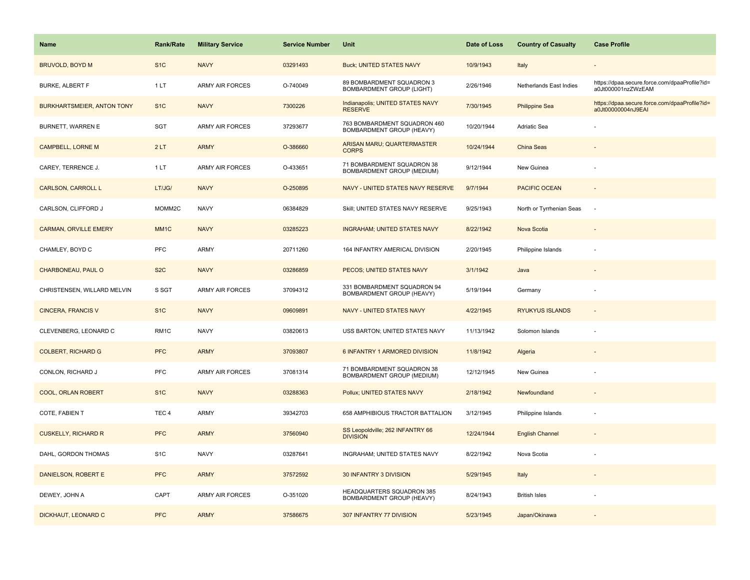| <b>Name</b>                       | Rank/Rate         | <b>Military Service</b> | <b>Service Number</b> | Unit                                                          | Date of Loss | <b>Country of Casualty</b> | <b>Case Profile</b>                                                 |
|-----------------------------------|-------------------|-------------------------|-----------------------|---------------------------------------------------------------|--------------|----------------------------|---------------------------------------------------------------------|
| <b>BRUVOLD, BOYD M</b>            | S <sub>1</sub> C  | <b>NAVY</b>             | 03291493              | <b>Buck; UNITED STATES NAVY</b>                               | 10/9/1943    | Italy                      |                                                                     |
| <b>BURKE, ALBERT F</b>            | 1LT               | <b>ARMY AIR FORCES</b>  | O-740049              | 89 BOMBARDMENT SQUADRON 3<br><b>BOMBARDMENT GROUP (LIGHT)</b> | 2/26/1946    | Netherlands East Indies    | https://dpaa.secure.force.com/dpaaProfile?id=<br>a0Jt000001nzZWzEAM |
| <b>BURKHARTSMEIER, ANTON TONY</b> | S <sub>1</sub> C  | <b>NAVY</b>             | 7300226               | Indianapolis; UNITED STATES NAVY<br><b>RESERVE</b>            | 7/30/1945    | <b>Philippine Sea</b>      | https://dpaa.secure.force.com/dpaaProfile?id=<br>a0Jt00000004nJ9EAI |
| BURNETT, WARREN E                 | SGT               | <b>ARMY AIR FORCES</b>  | 37293677              | 763 BOMBARDMENT SQUADRON 460<br>BOMBARDMENT GROUP (HEAVY)     | 10/20/1944   | Adriatic Sea               |                                                                     |
| <b>CAMPBELL, LORNE M</b>          | 2LT               | <b>ARMY</b>             | O-386660              | ARISAN MARU; QUARTERMASTER<br><b>CORPS</b>                    | 10/24/1944   | China Seas                 |                                                                     |
| CAREY, TERRENCE J.                | 1LT               | <b>ARMY AIR FORCES</b>  | O-433651              | 71 BOMBARDMENT SQUADRON 38<br>BOMBARDMENT GROUP (MEDIUM)      | 9/12/1944    | New Guinea                 |                                                                     |
| <b>CARLSON, CARROLL L</b>         | LT/JG/            | <b>NAVY</b>             | O-250895              | NAVY - UNITED STATES NAVY RESERVE                             | 9/7/1944     | <b>PACIFIC OCEAN</b>       | $\sim$                                                              |
| CARLSON, CLIFFORD J               | MOMM2C            | <b>NAVY</b>             | 06384829              | Skill; UNITED STATES NAVY RESERVE                             | 9/25/1943    | North or Tyrrhenian Seas   | ÷.                                                                  |
| <b>CARMAN, ORVILLE EMERY</b>      | MM <sub>1</sub> C | <b>NAVY</b>             | 03285223              | <b>INGRAHAM; UNITED STATES NAVY</b>                           | 8/22/1942    | Nova Scotia                |                                                                     |
| CHAMLEY, BOYD C                   | PFC               | ARMY                    | 20711260              | 164 INFANTRY AMERICAL DIVISION                                | 2/20/1945    | Philippine Islands         | ÷,                                                                  |
| CHARBONEAU, PAUL O                | S <sub>2</sub> C  | <b>NAVY</b>             | 03286859              | PECOS; UNITED STATES NAVY                                     | 3/1/1942     | Java                       |                                                                     |
| CHRISTENSEN, WILLARD MELVIN       | S SGT             | <b>ARMY AIR FORCES</b>  | 37094312              | 331 BOMBARDMENT SQUADRON 94<br>BOMBARDMENT GROUP (HEAVY)      | 5/19/1944    | Germany                    |                                                                     |
| <b>CINCERA, FRANCIS V</b>         | S <sub>1</sub> C  | <b>NAVY</b>             | 09609891              | NAVY - UNITED STATES NAVY                                     | 4/22/1945    | <b>RYUKYUS ISLANDS</b>     |                                                                     |
| CLEVENBERG, LEONARD C             | RM <sub>1C</sub>  | <b>NAVY</b>             | 03820613              | USS BARTON; UNITED STATES NAVY                                | 11/13/1942   | Solomon Islands            | ÷,                                                                  |
| <b>COLBERT, RICHARD G</b>         | <b>PFC</b>        | <b>ARMY</b>             | 37093807              | 6 INFANTRY 1 ARMORED DIVISION                                 | 11/8/1942    | Algeria                    |                                                                     |
| CONLON, RICHARD J                 | <b>PFC</b>        | <b>ARMY AIR FORCES</b>  | 37081314              | 71 BOMBARDMENT SQUADRON 38<br>BOMBARDMENT GROUP (MEDIUM)      | 12/12/1945   | New Guinea                 |                                                                     |
| COOL, ORLAN ROBERT                | S <sub>1</sub> C  | <b>NAVY</b>             | 03288363              | Pollux; UNITED STATES NAVY                                    | 2/18/1942    | Newfoundland               |                                                                     |
| COTE, FABIEN T                    | TEC <sub>4</sub>  | ARMY                    | 39342703              | 658 AMPHIBIOUS TRACTOR BATTALION                              | 3/12/1945    | Philippine Islands         |                                                                     |
| <b>CUSKELLY, RICHARD R</b>        | <b>PFC</b>        | <b>ARMY</b>             | 37560940              | SS Leopoldville; 262 INFANTRY 66<br><b>DIVISION</b>           | 12/24/1944   | <b>English Channel</b>     |                                                                     |
| DAHL, GORDON THOMAS               | S <sub>1</sub> C  | <b>NAVY</b>             | 03287641              | INGRAHAM; UNITED STATES NAVY                                  | 8/22/1942    | Nova Scotia                |                                                                     |
| DANIELSON, ROBERT E               | <b>PFC</b>        | <b>ARMY</b>             | 37572592              | 30 INFANTRY 3 DIVISION                                        | 5/29/1945    | Italy                      |                                                                     |
| DEWEY, JOHN A                     | CAPT              | <b>ARMY AIR FORCES</b>  | O-351020              | HEADQUARTERS SQUADRON 385<br>BOMBARDMENT GROUP (HEAVY)        | 8/24/1943    | <b>British Isles</b>       |                                                                     |
| DICKHAUT, LEONARD C               | <b>PFC</b>        | <b>ARMY</b>             | 37586675              | 307 INFANTRY 77 DIVISION                                      | 5/23/1945    | Japan/Okinawa              |                                                                     |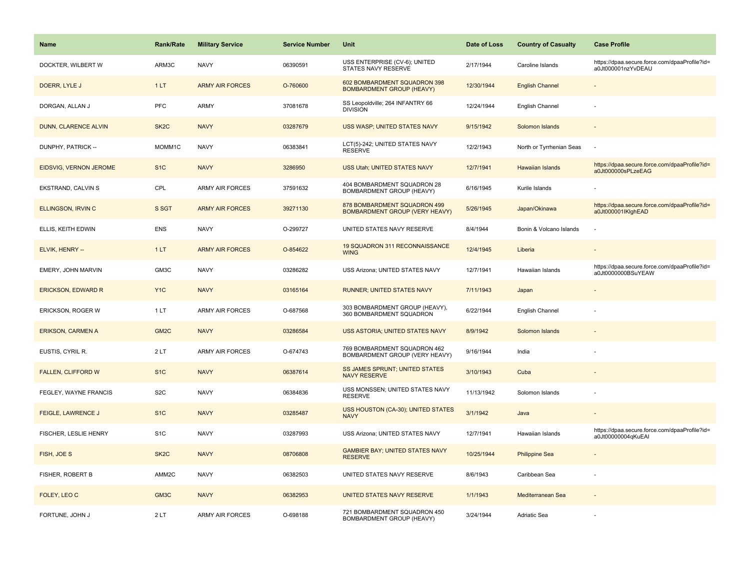| <b>Name</b>               | <b>Rank/Rate</b>  | <b>Military Service</b> | <b>Service Number</b> | Unit                                                             | Date of Loss | <b>Country of Casualty</b> | <b>Case Profile</b>                                                 |
|---------------------------|-------------------|-------------------------|-----------------------|------------------------------------------------------------------|--------------|----------------------------|---------------------------------------------------------------------|
| DOCKTER, WILBERT W        | ARM3C             | <b>NAVY</b>             | 06390591              | USS ENTERPRISE (CV-6); UNITED<br>STATES NAVY RESERVE             | 2/17/1944    | Caroline Islands           | https://dpaa.secure.force.com/dpaaProfile?id=<br>a0Jt000001nzYvDEAU |
| DOERR, LYLE J             | 1LT               | <b>ARMY AIR FORCES</b>  | O-760600              | 602 BOMBARDMENT SQUADRON 398<br><b>BOMBARDMENT GROUP (HEAVY)</b> | 12/30/1944   | <b>English Channel</b>     |                                                                     |
| DORGAN, ALLAN J           | <b>PFC</b>        | <b>ARMY</b>             | 37081678              | SS Leopoldville; 264 INFANTRY 66<br><b>DIVISION</b>              | 12/24/1944   | English Channel            |                                                                     |
| DUNN, CLARENCE ALVIN      | SK <sub>2</sub> C | <b>NAVY</b>             | 03287679              | USS WASP; UNITED STATES NAVY                                     | 9/15/1942    | Solomon Islands            |                                                                     |
| DUNPHY, PATRICK --        | MOMM1C            | <b>NAVY</b>             | 06383841              | LCT(5)-242; UNITED STATES NAVY<br><b>RESERVE</b>                 | 12/2/1943    | North or Tyrrhenian Seas   |                                                                     |
| EIDSVIG, VERNON JEROME    | S <sub>1</sub> C  | <b>NAVY</b>             | 3286950               | USS Utah; UNITED STATES NAVY                                     | 12/7/1941    | <b>Hawaiian Islands</b>    | https://dpaa.secure.force.com/dpaaProfile?id=<br>a0Jt000000sPLzeEAG |
| EKSTRAND, CALVIN S        | CPL               | ARMY AIR FORCES         | 37591632              | 404 BOMBARDMENT SQUADRON 28<br>BOMBARDMENT GROUP (HEAVY)         | 6/16/1945    | Kurile Islands             |                                                                     |
| ELLINGSON, IRVIN C        | S SGT             | <b>ARMY AIR FORCES</b>  | 39271130              | 878 BOMBARDMENT SQUADRON 499<br>BOMBARDMENT GROUP (VERY HEAVY)   | 5/26/1945    | Japan/Okinawa              | https://dpaa.secure.force.com/dpaaProfile?id=<br>a0Jt000001IKlghEAD |
| ELLIS, KEITH EDWIN        | <b>ENS</b>        | <b>NAVY</b>             | O-299727              | UNITED STATES NAVY RESERVE                                       | 8/4/1944     | Bonin & Volcano Islands    |                                                                     |
| ELVIK, HENRY --           | 1LT               | <b>ARMY AIR FORCES</b>  | O-854622              | 19 SQUADRON 311 RECONNAISSANCE<br><b>WING</b>                    | 12/4/1945    | Liberia                    |                                                                     |
| EMERY, JOHN MARVIN        | GM3C              | <b>NAVY</b>             | 03286282              | USS Arizona; UNITED STATES NAVY                                  | 12/7/1941    | Hawaiian Islands           | https://dpaa.secure.force.com/dpaaProfile?id=<br>a0Jt0000000BSuYEAW |
| <b>ERICKSON, EDWARD R</b> | Y <sub>1</sub> C  | <b>NAVY</b>             | 03165164              | RUNNER; UNITED STATES NAVY                                       | 7/11/1943    | Japan                      |                                                                     |
| ERICKSON, ROGER W         | 1LT               | <b>ARMY AIR FORCES</b>  | O-687568              | 303 BOMBARDMENT GROUP (HEAVY),<br>360 BOMBARDMENT SQUADRON       | 6/22/1944    | English Channel            |                                                                     |
| <b>ERIKSON, CARMEN A</b>  | GM <sub>2C</sub>  | <b>NAVY</b>             | 03286584              | USS ASTORIA; UNITED STATES NAVY                                  | 8/9/1942     | Solomon Islands            |                                                                     |
| EUSTIS, CYRIL R.          | 2LT               | <b>ARMY AIR FORCES</b>  | O-674743              | 769 BOMBARDMENT SQUADRON 462<br>BOMBARDMENT GROUP (VERY HEAVY)   | 9/16/1944    | India                      |                                                                     |
| <b>FALLEN, CLIFFORD W</b> | S <sub>1</sub> C  | <b>NAVY</b>             | 06387614              | <b>SS JAMES SPRUNT; UNITED STATES</b><br><b>NAVY RESERVE</b>     | 3/10/1943    | Cuba                       |                                                                     |
| FEGLEY, WAYNE FRANCIS     | S <sub>2</sub> C  | <b>NAVY</b>             | 06384836              | USS MONSSEN; UNITED STATES NAVY<br><b>RESERVE</b>                | 11/13/1942   | Solomon Islands            |                                                                     |
| <b>FEIGLE, LAWRENCE J</b> | S <sub>1</sub> C  | <b>NAVY</b>             | 03285487              | USS HOUSTON (CA-30); UNITED STATES<br><b>NAVY</b>                | 3/1/1942     | Java                       |                                                                     |
| FISCHER, LESLIE HENRY     | S <sub>1</sub> C  | <b>NAVY</b>             | 03287993              | USS Arizona; UNITED STATES NAVY                                  | 12/7/1941    | Hawaiian Islands           | https://dpaa.secure.force.com/dpaaProfile?id=<br>a0Jt00000004qKuEAI |
| FISH, JOE S               | SK <sub>2</sub> C | <b>NAVY</b>             | 08706808              | <b>GAMBIER BAY; UNITED STATES NAVY</b><br><b>RESERVE</b>         | 10/25/1944   | <b>Philippine Sea</b>      |                                                                     |
| FISHER, ROBERT B          | AMM2C             | <b>NAVY</b>             | 06382503              | UNITED STATES NAVY RESERVE                                       | 8/6/1943     | Caribbean Sea              |                                                                     |
| FOLEY, LEO C              | GM3C              | <b>NAVY</b>             | 06382953              | UNITED STATES NAVY RESERVE                                       | 1/1/1943     | Mediterranean Sea          |                                                                     |
| FORTUNE, JOHN J           | 2LT               | <b>ARMY AIR FORCES</b>  | O-698188              | 721 BOMBARDMENT SQUADRON 450<br><b>BOMBARDMENT GROUP (HEAVY)</b> | 3/24/1944    | <b>Adriatic Sea</b>        |                                                                     |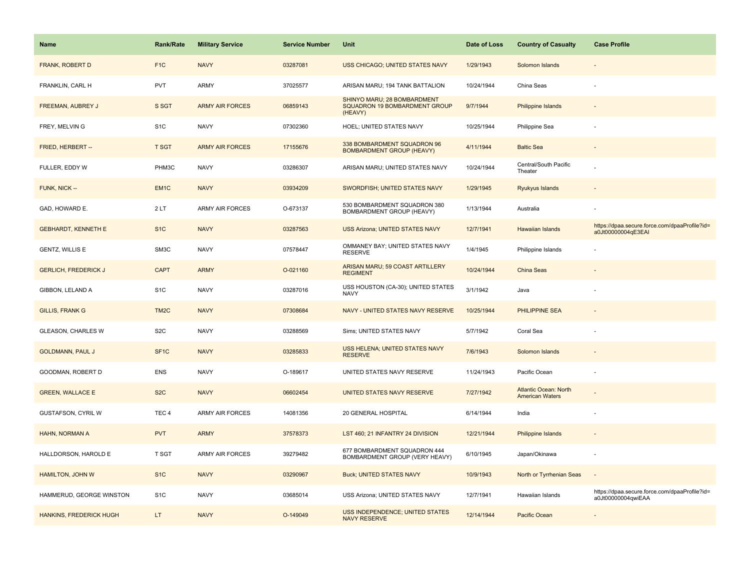| <b>Name</b>                 | <b>Rank/Rate</b>  | <b>Military Service</b> | <b>Service Number</b> | Unit                                                                    | Date of Loss | <b>Country of Casualty</b>                             | <b>Case Profile</b>                                                 |
|-----------------------------|-------------------|-------------------------|-----------------------|-------------------------------------------------------------------------|--------------|--------------------------------------------------------|---------------------------------------------------------------------|
| FRANK, ROBERT D             | F <sub>1</sub> C  | <b>NAVY</b>             | 03287081              | USS CHICAGO; UNITED STATES NAVY                                         | 1/29/1943    | Solomon Islands                                        |                                                                     |
| FRANKLIN, CARL H            | <b>PVT</b>        | ARMY                    | 37025577              | ARISAN MARU; 194 TANK BATTALION                                         | 10/24/1944   | China Seas                                             |                                                                     |
| FREEMAN, AUBREY J           | S SGT             | <b>ARMY AIR FORCES</b>  | 06859143              | SHINYO MARU; 28 BOMBARDMENT<br>SQUADRON 19 BOMBARDMENT GROUP<br>(HEAVY) | 9/7/1944     | <b>Philippine Islands</b>                              |                                                                     |
| FREY, MELVIN G              | S <sub>1C</sub>   | <b>NAVY</b>             | 07302360              | HOEL; UNITED STATES NAVY                                                | 10/25/1944   | Philippine Sea                                         |                                                                     |
| FRIED, HERBERT --           | <b>T SGT</b>      | <b>ARMY AIR FORCES</b>  | 17155676              | 338 BOMBARDMENT SQUADRON 96<br><b>BOMBARDMENT GROUP (HEAVY)</b>         | 4/11/1944    | <b>Baltic Sea</b>                                      |                                                                     |
| FULLER, EDDY W              | PHM3C             | <b>NAVY</b>             | 03286307              | ARISAN MARU; UNITED STATES NAVY                                         | 10/24/1944   | Central/South Pacific<br>Theater                       |                                                                     |
| FUNK, NICK --               | EM <sub>1C</sub>  | <b>NAVY</b>             | 03934209              | SWORDFISH; UNITED STATES NAVY                                           | 1/29/1945    | Ryukyus Islands                                        |                                                                     |
| GAD, HOWARD E.              | 2LT               | <b>ARMY AIR FORCES</b>  | O-673137              | 530 BOMBARDMENT SQUADRON 380<br>BOMBARDMENT GROUP (HEAVY)               | 1/13/1944    | Australia                                              |                                                                     |
| <b>GEBHARDT, KENNETH E</b>  | S <sub>1</sub> C  | <b>NAVY</b>             | 03287563              | <b>USS Arizona; UNITED STATES NAVY</b>                                  | 12/7/1941    | <b>Hawaiian Islands</b>                                | https://dpaa.secure.force.com/dpaaProfile?id=<br>a0Jt00000004qE3EAI |
| <b>GENTZ, WILLIS E</b>      | SM3C              | <b>NAVY</b>             | 07578447              | OMMANEY BAY; UNITED STATES NAVY<br><b>RESERVE</b>                       | 1/4/1945     | Philippine Islands                                     |                                                                     |
| <b>GERLICH, FREDERICK J</b> | <b>CAPT</b>       | <b>ARMY</b>             | O-021160              | ARISAN MARU; 59 COAST ARTILLERY<br><b>REGIMENT</b>                      | 10/24/1944   | <b>China Seas</b>                                      |                                                                     |
| GIBBON, LELAND A            | S <sub>1</sub> C  | <b>NAVY</b>             | 03287016              | USS HOUSTON (CA-30); UNITED STATES<br><b>NAVY</b>                       | 3/1/1942     | Java                                                   |                                                                     |
| <b>GILLIS, FRANK G</b>      | TM <sub>2</sub> C | <b>NAVY</b>             | 07308684              | NAVY - UNITED STATES NAVY RESERVE                                       | 10/25/1944   | <b>PHILIPPINE SEA</b>                                  |                                                                     |
| <b>GLEASON, CHARLES W</b>   | S <sub>2</sub> C  | <b>NAVY</b>             | 03288569              | Sims; UNITED STATES NAVY                                                | 5/7/1942     | Coral Sea                                              |                                                                     |
| <b>GOLDMANN, PAUL J</b>     | SF <sub>1C</sub>  | <b>NAVY</b>             | 03285833              | USS HELENA; UNITED STATES NAVY<br><b>RESERVE</b>                        | 7/6/1943     | Solomon Islands                                        |                                                                     |
| GOODMAN, ROBERT D           | <b>ENS</b>        | <b>NAVY</b>             | O-189617              | UNITED STATES NAVY RESERVE                                              | 11/24/1943   | Pacific Ocean                                          |                                                                     |
| <b>GREEN, WALLACE E</b>     | S <sub>2</sub> C  | <b>NAVY</b>             | 06602454              | UNITED STATES NAVY RESERVE                                              | 7/27/1942    | <b>Atlantic Ocean: North</b><br><b>American Waters</b> |                                                                     |
| <b>GUSTAFSON, CYRIL W</b>   | TEC <sub>4</sub>  | ARMY AIR FORCES         | 14081356              | 20 GENERAL HOSPITAL                                                     | 6/14/1944    | India                                                  |                                                                     |
| HAHN, NORMAN A              | <b>PVT</b>        | <b>ARMY</b>             | 37578373              | LST 460; 21 INFANTRY 24 DIVISION                                        | 12/21/1944   | <b>Philippine Islands</b>                              |                                                                     |
| HALLDORSON, HAROLD E        | T SGT             | <b>ARMY AIR FORCES</b>  | 39279482              | 677 BOMBARDMENT SQUADRON 444<br>BOMBARDMENT GROUP (VERY HEAVY)          | 6/10/1945    | Japan/Okinawa                                          |                                                                     |
| <b>HAMILTON, JOHN W</b>     | S <sub>1</sub> C  | <b>NAVY</b>             | 03290967              | <b>Buck; UNITED STATES NAVY</b>                                         | 10/9/1943    | North or Tyrrhenian Seas                               |                                                                     |
| HAMMERUD, GEORGE WINSTON    | S <sub>1</sub> C  | <b>NAVY</b>             | 03685014              | USS Arizona; UNITED STATES NAVY                                         | 12/7/1941    | Hawaiian Islands                                       | https://dpaa.secure.force.com/dpaaProfile?id=<br>a0Jt00000004qwiEAA |
| HANKINS, FREDERICK HUGH     | LT.               | <b>NAVY</b>             | O-149049              | <b>USS INDEPENDENCE; UNITED STATES</b><br><b>NAVY RESERVE</b>           | 12/14/1944   | Pacific Ocean                                          |                                                                     |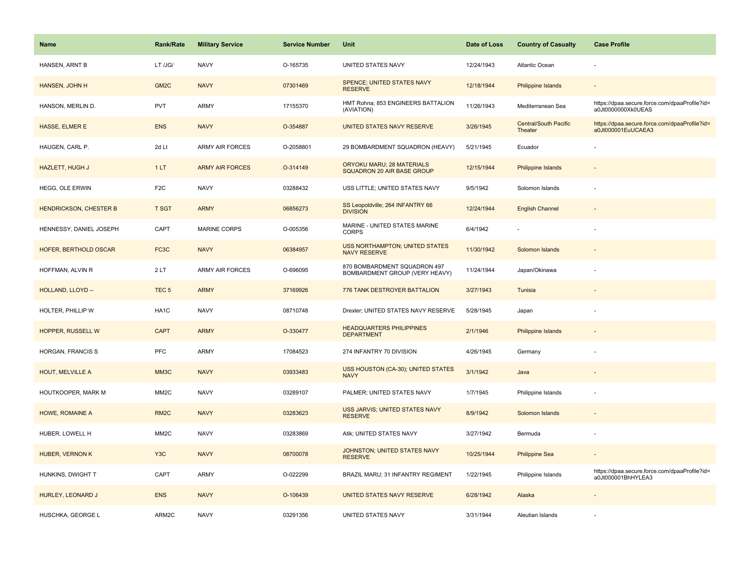| Name                          | <b>Rank/Rate</b>  | <b>Military Service</b> | <b>Service Number</b> | Unit                                                           | Date of Loss | <b>Country of Casualty</b>       | <b>Case Profile</b>                                                 |
|-------------------------------|-------------------|-------------------------|-----------------------|----------------------------------------------------------------|--------------|----------------------------------|---------------------------------------------------------------------|
| HANSEN, ARNT B                | LT /JG/           | <b>NAVY</b>             | O-165735              | UNITED STATES NAVY                                             | 12/24/1943   | Atlantic Ocean                   |                                                                     |
| HANSEN, JOHN H                | GM <sub>2</sub> C | <b>NAVY</b>             | 07301469              | SPENCE; UNITED STATES NAVY<br><b>RESERVE</b>                   | 12/18/1944   | Philippine Islands               |                                                                     |
| HANSON, MERLIN D.             | <b>PVT</b>        | <b>ARMY</b>             | 17155370              | HMT Rohna; 853 ENGINEERS BATTALION<br>(AVIATION)               | 11/26/1943   | Mediterranean Sea                | https://dpaa.secure.force.com/dpaaProfile?id=<br>a0Jt0000000Xk0UEAS |
| HASSE, ELMER E                | <b>ENS</b>        | <b>NAVY</b>             | O-354887              | UNITED STATES NAVY RESERVE                                     | 3/26/1945    | Central/South Pacific<br>Theater | https://dpaa.secure.force.com/dpaaProfile?id=<br>a0Jt000001EuUCAEA3 |
| HAUGEN, CARL P.               | 2d Lt             | <b>ARMY AIR FORCES</b>  | O-2058801             | 29 BOMBARDMENT SQUADRON (HEAVY)                                | 5/21/1945    | Ecuador                          |                                                                     |
| HAZLETT, HUGH J               | 1LT               | <b>ARMY AIR FORCES</b>  | O-314149              | <b>ORYOKU MARU; 28 MATERIALS</b><br>SQUADRON 20 AIR BASE GROUP | 12/15/1944   | Philippine Islands               |                                                                     |
| HEGG, OLE ERWIN               | F <sub>2C</sub>   | <b>NAVY</b>             | 03288432              | USS LITTLE; UNITED STATES NAVY                                 | 9/5/1942     | Solomon Islands                  |                                                                     |
| <b>HENDRICKSON, CHESTER B</b> | <b>T SGT</b>      | <b>ARMY</b>             | 06856273              | SS Leopoldville; 264 INFANTRY 66<br><b>DIVISION</b>            | 12/24/1944   | <b>English Channel</b>           |                                                                     |
| HENNESSY, DANIEL JOSEPH       | CAPT              | MARINE CORPS            | O-005356              | MARINE - UNITED STATES MARINE<br>CORPS                         | 6/4/1942     |                                  |                                                                     |
| HOFER, BERTHOLD OSCAR         | FC3C              | <b>NAVY</b>             | 06384957              | <b>USS NORTHAMPTON; UNITED STATES</b><br><b>NAVY RESERVE</b>   | 11/30/1942   | Solomon Islands                  |                                                                     |
| HOFFMAN, ALVIN R              | 2LT               | <b>ARMY AIR FORCES</b>  | O-696095              | 870 BOMBARDMENT SQUADRON 497<br>BOMBARDMENT GROUP (VERY HEAVY) | 11/24/1944   | Japan/Okinawa                    |                                                                     |
| HOLLAND, LLOYD --             | TEC <sub>5</sub>  | <b>ARMY</b>             | 37169926              | 776 TANK DESTROYER BATTALION                                   | 3/27/1943    | Tunisia                          |                                                                     |
| HOLTER, PHILLIP W             | HA1C              | <b>NAVY</b>             | 08710748              | Drexler; UNITED STATES NAVY RESERVE                            | 5/28/1945    | Japan                            |                                                                     |
| <b>HOPPER, RUSSELL W</b>      | <b>CAPT</b>       | <b>ARMY</b>             | O-330477              | <b>HEADQUARTERS PHILIPPINES</b><br><b>DEPARTMENT</b>           | 2/1/1946     | Philippine Islands               |                                                                     |
| HORGAN, FRANCIS S             | PFC               | ARMY                    | 17084523              | 274 INFANTRY 70 DIVISION                                       | 4/26/1945    | Germany                          |                                                                     |
| <b>HOUT, MELVILLE A</b>       | MM3C              | <b>NAVY</b>             | 03933483              | USS HOUSTON (CA-30); UNITED STATES<br><b>NAVY</b>              | 3/1/1942     | Java                             |                                                                     |
| HOUTKOOPER, MARK M            | MM <sub>2</sub> C | <b>NAVY</b>             | 03289107              | PALMER; UNITED STATES NAVY                                     | 1/7/1945     | Philippine Islands               |                                                                     |
| HOWE, ROMAINE A               | RM <sub>2</sub> C | <b>NAVY</b>             | 03283623              | USS JARVIS; UNITED STATES NAVY<br><b>RESERVE</b>               | 8/9/1942     | Solomon Islands                  |                                                                     |
| HUBER, LOWELL H               | MM <sub>2</sub> C | <b>NAVY</b>             | 03283869              | Atik; UNITED STATES NAVY                                       | 3/27/1942    | Bermuda                          |                                                                     |
| HUBER, VERNON K               | Y <sub>3</sub> C  | <b>NAVY</b>             | 08700078              | JOHNSTON; UNITED STATES NAVY<br><b>RESERVE</b>                 | 10/25/1944   | <b>Philippine Sea</b>            |                                                                     |
| HUNKINS, DWIGHT T             | CAPT              | ARMY                    | O-022299              | BRAZIL MARU; 31 INFANTRY REGIMENT                              | 1/22/1945    | Philippine Islands               | https://dpaa.secure.force.com/dpaaProfile?id=<br>a0Jt000001BhHYLEA3 |
| HURLEY, LEONARD J             | <b>ENS</b>        | <b>NAVY</b>             | O-106439              | UNITED STATES NAVY RESERVE                                     | 6/28/1942    | Alaska                           |                                                                     |
| HUSCHKA, GEORGE L             | ARM2C             | <b>NAVY</b>             | 03291356              | UNITED STATES NAVY                                             | 3/31/1944    | Aleutian Islands                 |                                                                     |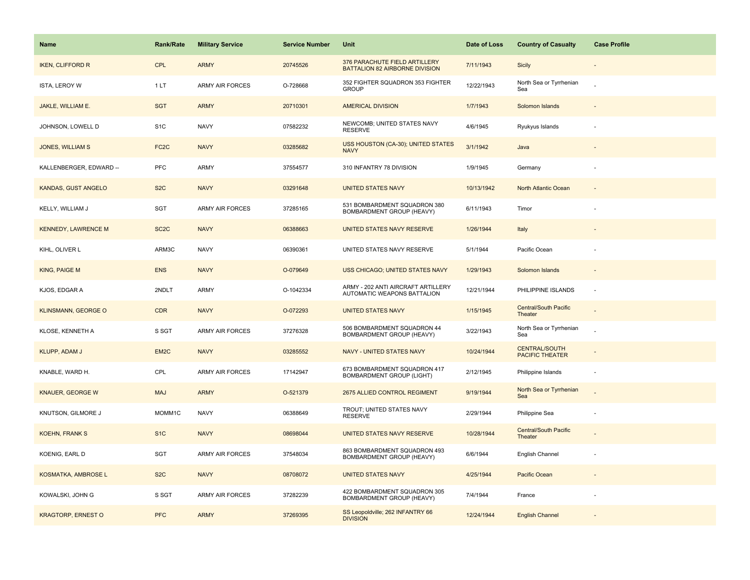| <b>Name</b>                | <b>Rank/Rate</b>  | <b>Military Service</b> | <b>Service Number</b> | Unit                                                              | Date of Loss | <b>Country of Casualty</b>              | <b>Case Profile</b>      |
|----------------------------|-------------------|-------------------------|-----------------------|-------------------------------------------------------------------|--------------|-----------------------------------------|--------------------------|
| <b>IKEN, CLIFFORD R</b>    | <b>CPL</b>        | <b>ARMY</b>             | 20745526              | 376 PARACHUTE FIELD ARTILLERY<br>BATTALION 82 AIRBORNE DIVISION   | 7/11/1943    | Sicily                                  |                          |
| ISTA, LEROY W              | 1LT               | ARMY AIR FORCES         | O-728668              | 352 FIGHTER SQUADRON 353 FIGHTER<br><b>GROUP</b>                  | 12/22/1943   | North Sea or Tyrrhenian<br>Sea          |                          |
| JAKLE, WILLIAM E.          | <b>SGT</b>        | <b>ARMY</b>             | 20710301              | <b>AMERICAL DIVISION</b>                                          | 1/7/1943     | Solomon Islands                         |                          |
| JOHNSON, LOWELL D          | S <sub>1</sub> C  | <b>NAVY</b>             | 07582232              | NEWCOMB; UNITED STATES NAVY<br><b>RESERVE</b>                     | 4/6/1945     | Ryukyus Islands                         |                          |
| JONES, WILLIAM S           | FC <sub>2</sub> C | <b>NAVY</b>             | 03285682              | USS HOUSTON (CA-30); UNITED STATES<br><b>NAVY</b>                 | 3/1/1942     | Java                                    |                          |
| KALLENBERGER, EDWARD --    | <b>PFC</b>        | ARMY                    | 37554577              | 310 INFANTRY 78 DIVISION                                          | 1/9/1945     | Germany                                 |                          |
| KANDAS, GUST ANGELO        | S <sub>2</sub> C  | <b>NAVY</b>             | 03291648              | <b>UNITED STATES NAVY</b>                                         | 10/13/1942   | North Atlantic Ocean                    |                          |
| KELLY, WILLIAM J           | SGT               | <b>ARMY AIR FORCES</b>  | 37285165              | 531 BOMBARDMENT SQUADRON 380<br>BOMBARDMENT GROUP (HEAVY)         | 6/11/1943    | Timor                                   |                          |
| <b>KENNEDY, LAWRENCE M</b> | SC <sub>2</sub> C | <b>NAVY</b>             | 06388663              | UNITED STATES NAVY RESERVE                                        | 1/26/1944    | Italy                                   |                          |
| KIHL, OLIVER L             | ARM3C             | <b>NAVY</b>             | 06390361              | UNITED STATES NAVY RESERVE                                        | 5/1/1944     | Pacific Ocean                           |                          |
| KING, PAIGE M              | <b>ENS</b>        | <b>NAVY</b>             | O-079649              | USS CHICAGO; UNITED STATES NAVY                                   | 1/29/1943    | Solomon Islands                         |                          |
| KJOS, EDGAR A              | 2NDLT             | ARMY                    | O-1042334             | ARMY - 202 ANTI AIRCRAFT ARTILLERY<br>AUTOMATIC WEAPONS BATTALION | 12/21/1944   | PHILIPPINE ISLANDS                      | ÷.                       |
| <b>KLINSMANN, GEORGE O</b> | <b>CDR</b>        | <b>NAVY</b>             | O-072293              | <b>UNITED STATES NAVY</b>                                         | 1/15/1945    | <b>Central/South Pacific</b><br>Theater |                          |
| KLOSE, KENNETH A           | S SGT             | <b>ARMY AIR FORCES</b>  | 37276328              | 506 BOMBARDMENT SQUADRON 44<br>BOMBARDMENT GROUP (HEAVY)          | 3/22/1943    | North Sea or Tyrrhenian<br>Sea          |                          |
| KLUPP, ADAM J              | EM2C              | <b>NAVY</b>             | 03285552              | NAVY - UNITED STATES NAVY                                         | 10/24/1944   | CENTRAL/SOUTH<br><b>PACIFIC THEATER</b> |                          |
| KNABLE, WARD H.            | CPL               | <b>ARMY AIR FORCES</b>  | 17142947              | 673 BOMBARDMENT SQUADRON 417<br><b>BOMBARDMENT GROUP (LIGHT)</b>  | 2/12/1945    | Philippine Islands                      | $\overline{\phantom{a}}$ |
| <b>KNAUER, GEORGE W</b>    | <b>MAJ</b>        | <b>ARMY</b>             | O-521379              | 2675 ALLIED CONTROL REGIMENT                                      | 9/19/1944    | North Sea or Tyrrhenian<br>Sea          |                          |
| KNUTSON, GILMORE J         | MOMM1C            | <b>NAVY</b>             | 06388649              | TROUT; UNITED STATES NAVY<br><b>RESERVE</b>                       | 2/29/1944    | Philippine Sea                          |                          |
| <b>KOEHN, FRANK S</b>      | S <sub>1C</sub>   | <b>NAVY</b>             | 08698044              | UNITED STATES NAVY RESERVE                                        | 10/28/1944   | Central/South Pacific<br>Theater        |                          |
| KOENIG, EARL D             | SGT               | <b>ARMY AIR FORCES</b>  | 37548034              | 863 BOMBARDMENT SQUADRON 493<br>BOMBARDMENT GROUP (HEAVY)         | 6/6/1944     | English Channel                         |                          |
| <b>KOSMATKA, AMBROSE L</b> | S <sub>2</sub> C  | <b>NAVY</b>             | 08708072              | <b>UNITED STATES NAVY</b>                                         | 4/25/1944    | Pacific Ocean                           |                          |
| KOWALSKI, JOHN G           | S SGT             | <b>ARMY AIR FORCES</b>  | 37282239              | 422 BOMBARDMENT SQUADRON 305<br>BOMBARDMENT GROUP (HEAVY)         | 7/4/1944     | France                                  |                          |
| <b>KRAGTORP, ERNEST O</b>  | <b>PFC</b>        | <b>ARMY</b>             | 37269395              | SS Leopoldville; 262 INFANTRY 66<br><b>DIVISION</b>               | 12/24/1944   | <b>English Channel</b>                  |                          |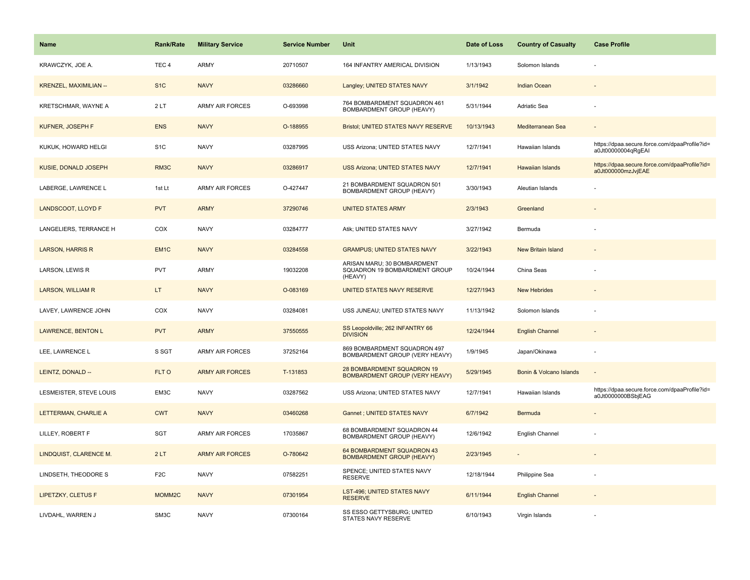| Name                          | <b>Rank/Rate</b>   | <b>Military Service</b> | <b>Service Number</b> | Unit                                                                    | Date of Loss | <b>Country of Casualty</b> | <b>Case Profile</b>                                                 |
|-------------------------------|--------------------|-------------------------|-----------------------|-------------------------------------------------------------------------|--------------|----------------------------|---------------------------------------------------------------------|
| KRAWCZYK, JOE A.              | TEC <sub>4</sub>   | ARMY                    | 20710507              | 164 INFANTRY AMERICAL DIVISION                                          | 1/13/1943    | Solomon Islands            |                                                                     |
| <b>KRENZEL, MAXIMILIAN --</b> | S <sub>1</sub> C   | <b>NAVY</b>             | 03286660              | Langley; UNITED STATES NAVY                                             | 3/1/1942     | <b>Indian Ocean</b>        |                                                                     |
| KRETSCHMAR, WAYNE A           | 2LT                | <b>ARMY AIR FORCES</b>  | O-693998              | 764 BOMBARDMENT SQUADRON 461<br>BOMBARDMENT GROUP (HEAVY)               | 5/31/1944    | Adriatic Sea               |                                                                     |
| KUFNER, JOSEPH F              | <b>ENS</b>         | <b>NAVY</b>             | O-188955              | Bristol; UNITED STATES NAVY RESERVE                                     | 10/13/1943   | Mediterranean Sea          |                                                                     |
| KUKUK, HOWARD HELGI           | S <sub>1</sub> C   | <b>NAVY</b>             | 03287995              | USS Arizona; UNITED STATES NAVY                                         | 12/7/1941    | Hawaiian Islands           | https://dpaa.secure.force.com/dpaaProfile?id=<br>a0Jt00000004qRgEAI |
| KUSIE, DONALD JOSEPH          | RM3C               | <b>NAVY</b>             | 03286917              | USS Arizona; UNITED STATES NAVY                                         | 12/7/1941    | Hawaiian Islands           | https://dpaa.secure.force.com/dpaaProfile?id=<br>a0Jt000000mzJvjEAE |
| LABERGE, LAWRENCE L           | 1st Lt             | ARMY AIR FORCES         | O-427447              | 21 BOMBARDMENT SQUADRON 501<br>BOMBARDMENT GROUP (HEAVY)                | 3/30/1943    | Aleutian Islands           |                                                                     |
| LANDSCOOT, LLOYD F            | <b>PVT</b>         | <b>ARMY</b>             | 37290746              | <b>UNITED STATES ARMY</b>                                               | 2/3/1943     | Greenland                  |                                                                     |
| LANGELIERS, TERRANCE H        | COX                | <b>NAVY</b>             | 03284777              | Atik; UNITED STATES NAVY                                                | 3/27/1942    | Bermuda                    |                                                                     |
| <b>LARSON, HARRIS R</b>       | EM <sub>1</sub> C  | <b>NAVY</b>             | 03284558              | <b>GRAMPUS; UNITED STATES NAVY</b>                                      | 3/22/1943    | New Britain Island         |                                                                     |
| LARSON, LEWIS R               | <b>PVT</b>         | ARMY                    | 19032208              | ARISAN MARU; 30 BOMBARDMENT<br>SQUADRON 19 BOMBARDMENT GROUP<br>(HEAVY) | 10/24/1944   | China Seas                 |                                                                     |
| <b>LARSON, WILLIAM R</b>      | LT.                | <b>NAVY</b>             | O-083169              | UNITED STATES NAVY RESERVE                                              | 12/27/1943   | <b>New Hebrides</b>        |                                                                     |
| LAVEY, LAWRENCE JOHN          | COX                | <b>NAVY</b>             | 03284081              | USS JUNEAU; UNITED STATES NAVY                                          | 11/13/1942   | Solomon Islands            |                                                                     |
| <b>LAWRENCE, BENTON L</b>     | <b>PVT</b>         | <b>ARMY</b>             | 37550555              | SS Leopoldville; 262 INFANTRY 66<br><b>DIVISION</b>                     | 12/24/1944   | <b>English Channel</b>     |                                                                     |
| LEE, LAWRENCE L               | S SGT              | <b>ARMY AIR FORCES</b>  | 37252164              | 869 BOMBARDMENT SQUADRON 497<br>BOMBARDMENT GROUP (VERY HEAVY)          | 1/9/1945     | Japan/Okinawa              |                                                                     |
| LEINTZ, DONALD --             | FLT O              | <b>ARMY AIR FORCES</b>  | T-131853              | 28 BOMBARDMENT SQUADRON 19<br><b>BOMBARDMENT GROUP (VERY HEAVY)</b>     | 5/29/1945    | Bonin & Volcano Islands    |                                                                     |
| LESMEISTER, STEVE LOUIS       | EM3C               | <b>NAVY</b>             | 03287562              | USS Arizona; UNITED STATES NAVY                                         | 12/7/1941    | Hawaiian Islands           | https://dpaa.secure.force.com/dpaaProfile?id=<br>a0Jt0000000BSbjEAG |
| LETTERMAN, CHARLIE A          | <b>CWT</b>         | <b>NAVY</b>             | 03460268              | Gannet ; UNITED STATES NAVY                                             | 6/7/1942     | Bermuda                    |                                                                     |
| LILLEY, ROBERT F              | SGT                | ARMY AIR FORCES         | 17035867              | 68 BOMBARDMENT SQUADRON 44<br>BOMBARDMENT GROUP (HEAVY)                 | 12/6/1942    | English Channel            |                                                                     |
| LINDQUIST, CLARENCE M.        | 2LT                | <b>ARMY AIR FORCES</b>  | O-780642              | 64 BOMBARDMENT SQUADRON 43<br><b>BOMBARDMENT GROUP (HEAVY)</b>          | 2/23/1945    | $\overline{\phantom{a}}$   |                                                                     |
| LINDSETH, THEODORE S          | F <sub>2C</sub>    | <b>NAVY</b>             | 07582251              | SPENCE; UNITED STATES NAVY<br><b>RESERVE</b>                            | 12/18/1944   | Philippine Sea             |                                                                     |
| <b>LIPETZKY, CLETUS F</b>     | MOMM <sub>2C</sub> | <b>NAVY</b>             | 07301954              | LST-496; UNITED STATES NAVY<br><b>RESERVE</b>                           | 6/11/1944    | <b>English Channel</b>     |                                                                     |
| LIVDAHL, WARREN J             | SM3C               | <b>NAVY</b>             | 07300164              | SS ESSO GETTYSBURG; UNITED<br>STATES NAVY RESERVE                       | 6/10/1943    | Virgin Islands             |                                                                     |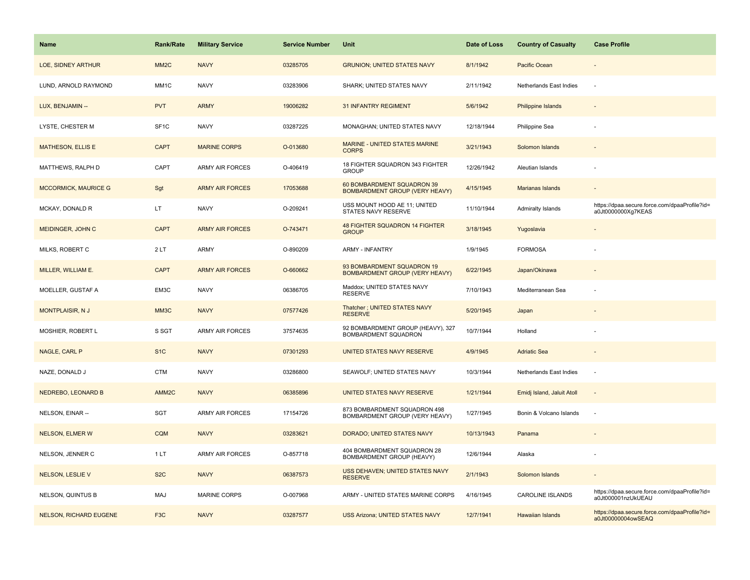| <b>Name</b>                   | <b>Rank/Rate</b>  | <b>Military Service</b> | <b>Service Number</b> | Unit                                                                | Date of Loss | <b>Country of Casualty</b> | <b>Case Profile</b>                                                 |
|-------------------------------|-------------------|-------------------------|-----------------------|---------------------------------------------------------------------|--------------|----------------------------|---------------------------------------------------------------------|
| LOE, SIDNEY ARTHUR            | MM <sub>2</sub> C | <b>NAVY</b>             | 03285705              | <b>GRUNION; UNITED STATES NAVY</b>                                  | 8/1/1942     | Pacific Ocean              |                                                                     |
| LUND, ARNOLD RAYMOND          | MM1C              | <b>NAVY</b>             | 03283906              | SHARK; UNITED STATES NAVY                                           | 2/11/1942    | Netherlands East Indies    |                                                                     |
| LUX, BENJAMIN --              | <b>PVT</b>        | <b>ARMY</b>             | 19006282              | <b>31 INFANTRY REGIMENT</b>                                         | 5/6/1942     | Philippine Islands         |                                                                     |
| LYSTE, CHESTER M              | SF <sub>1C</sub>  | <b>NAVY</b>             | 03287225              | MONAGHAN; UNITED STATES NAVY                                        | 12/18/1944   | Philippine Sea             |                                                                     |
| <b>MATHESON, ELLIS E</b>      | <b>CAPT</b>       | <b>MARINE CORPS</b>     | O-013680              | MARINE - UNITED STATES MARINE<br><b>CORPS</b>                       | 3/21/1943    | Solomon Islands            |                                                                     |
| MATTHEWS, RALPH D             | CAPT              | ARMY AIR FORCES         | O-406419              | 18 FIGHTER SQUADRON 343 FIGHTER<br><b>GROUP</b>                     | 12/26/1942   | Aleutian Islands           |                                                                     |
| <b>MCCORMICK, MAURICE G</b>   | Sgt               | <b>ARMY AIR FORCES</b>  | 17053688              | 60 BOMBARDMENT SQUADRON 39<br><b>BOMBARDMENT GROUP (VERY HEAVY)</b> | 4/15/1945    | <b>Marianas Islands</b>    |                                                                     |
| MCKAY, DONALD R               | LT.               | <b>NAVY</b>             | O-209241              | USS MOUNT HOOD AE 11; UNITED<br>STATES NAVY RESERVE                 | 11/10/1944   | Admiralty Islands          | https://dpaa.secure.force.com/dpaaProfile?id=<br>a0Jt0000000Xg7KEAS |
| MEIDINGER, JOHN C             | <b>CAPT</b>       | <b>ARMY AIR FORCES</b>  | O-743471              | <b>48 FIGHTER SQUADRON 14 FIGHTER</b><br><b>GROUP</b>               | 3/18/1945    | Yugoslavia                 |                                                                     |
| MILKS, ROBERT C               | 2LT               | ARMY                    | O-890209              | <b>ARMY - INFANTRY</b>                                              | 1/9/1945     | <b>FORMOSA</b>             |                                                                     |
| MILLER, WILLIAM E.            | <b>CAPT</b>       | <b>ARMY AIR FORCES</b>  | O-660662              | 93 BOMBARDMENT SQUADRON 19<br><b>BOMBARDMENT GROUP (VERY HEAVY)</b> | 6/22/1945    | Japan/Okinawa              |                                                                     |
| MOELLER, GUSTAF A             | EM3C              | <b>NAVY</b>             | 06386705              | Maddox; UNITED STATES NAVY<br><b>RESERVE</b>                        | 7/10/1943    | Mediterranean Sea          |                                                                     |
| <b>MONTPLAISIR, NJ</b>        | MM <sub>3</sub> C | <b>NAVY</b>             | 07577426              | Thatcher ; UNITED STATES NAVY<br><b>RESERVE</b>                     | 5/20/1945    | Japan                      |                                                                     |
| MOSHIER, ROBERT L             | S SGT             | ARMY AIR FORCES         | 37574635              | 92 BOMBARDMENT GROUP (HEAVY), 327<br>BOMBARDMENT SQUADRON           | 10/7/1944    | Holland                    |                                                                     |
| NAGLE, CARL P                 | S <sub>1</sub> C  | <b>NAVY</b>             | 07301293              | UNITED STATES NAVY RESERVE                                          | 4/9/1945     | <b>Adriatic Sea</b>        |                                                                     |
| NAZE, DONALD J                | CTM               | <b>NAVY</b>             | 03286800              | SEAWOLF; UNITED STATES NAVY                                         | 10/3/1944    | Netherlands East Indies    | $\sim$                                                              |
| NEDREBO, LEONARD B            | AMM <sub>2C</sub> | <b>NAVY</b>             | 06385896              | UNITED STATES NAVY RESERVE                                          | 1/21/1944    | Emidj Island, Jaluit Atoll | $\sim$                                                              |
| NELSON, EINAR --              | SGT               | <b>ARMY AIR FORCES</b>  | 17154726              | 873 BOMBARDMENT SQUADRON 498<br>BOMBARDMENT GROUP (VERY HEAVY)      | 1/27/1945    | Bonin & Volcano Islands    |                                                                     |
| <b>NELSON, ELMER W</b>        | <b>CQM</b>        | <b>NAVY</b>             | 03283621              | DORADO; UNITED STATES NAVY                                          | 10/13/1943   | Panama                     |                                                                     |
| NELSON, JENNER C              | 1LT               | <b>ARMY AIR FORCES</b>  | O-857718              | 404 BOMBARDMENT SQUADRON 28<br>BOMBARDMENT GROUP (HEAVY)            | 12/6/1944    | Alaska                     |                                                                     |
| <b>NELSON, LESLIE V</b>       | S <sub>2</sub> C  | <b>NAVY</b>             | 06387573              | USS DEHAVEN; UNITED STATES NAVY<br><b>RESERVE</b>                   | 2/1/1943     | Solomon Islands            |                                                                     |
| NELSON, QUINTUS B             | MAJ               | <b>MARINE CORPS</b>     | O-007968              | ARMY - UNITED STATES MARINE CORPS                                   | 4/16/1945    | CAROLINE ISLANDS           | https://dpaa.secure.force.com/dpaaProfile?id=<br>a0Jt000001nzUkUEAU |
| <b>NELSON, RICHARD EUGENE</b> | F <sub>3</sub> C  | <b>NAVY</b>             | 03287577              | <b>USS Arizona; UNITED STATES NAVY</b>                              | 12/7/1941    | <b>Hawaiian Islands</b>    | https://dpaa.secure.force.com/dpaaProfile?id=<br>a0Jt00000004owSEAQ |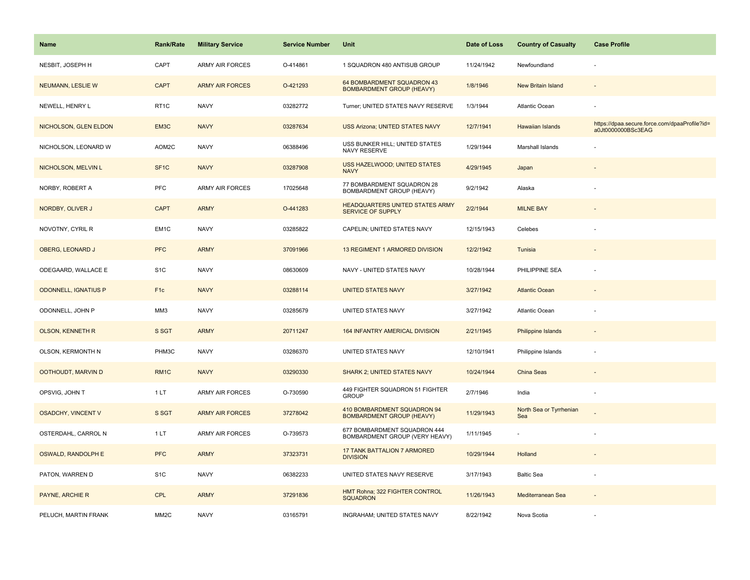| <b>Name</b>                 | <b>Rank/Rate</b>  | <b>Military Service</b> | <b>Service Number</b> | Unit                                                            | Date of Loss | <b>Country of Casualty</b>     | <b>Case Profile</b>                                                 |
|-----------------------------|-------------------|-------------------------|-----------------------|-----------------------------------------------------------------|--------------|--------------------------------|---------------------------------------------------------------------|
| NESBIT, JOSEPH H            | CAPT              | <b>ARMY AIR FORCES</b>  | O-414861              | 1 SQUADRON 480 ANTISUB GROUP                                    | 11/24/1942   | Newfoundland                   |                                                                     |
| <b>NEUMANN, LESLIE W</b>    | <b>CAPT</b>       | <b>ARMY AIR FORCES</b>  | O-421293              | 64 BOMBARDMENT SQUADRON 43<br><b>BOMBARDMENT GROUP (HEAVY)</b>  | 1/8/1946     | <b>New Britain Island</b>      |                                                                     |
| NEWELL, HENRY L             | RT <sub>1</sub> C | <b>NAVY</b>             | 03282772              | Turner; UNITED STATES NAVY RESERVE                              | 1/3/1944     | Atlantic Ocean                 |                                                                     |
| NICHOLSON, GLEN ELDON       | EM3C              | <b>NAVY</b>             | 03287634              | USS Arizona; UNITED STATES NAVY                                 | 12/7/1941    | Hawaiian Islands               | https://dpaa.secure.force.com/dpaaProfile?id=<br>a0Jt0000000BSc3EAG |
| NICHOLSON, LEONARD W        | AOM2C             | <b>NAVY</b>             | 06388496              | USS BUNKER HILL; UNITED STATES<br>NAVY RESERVE                  | 1/29/1944    | Marshall Islands               |                                                                     |
| NICHOLSON, MELVIN L         | SF <sub>1C</sub>  | <b>NAVY</b>             | 03287908              | USS HAZELWOOD; UNITED STATES<br><b>NAVY</b>                     | 4/29/1945    | Japan                          |                                                                     |
| NORBY, ROBERT A             | PFC               | <b>ARMY AIR FORCES</b>  | 17025648              | 77 BOMBARDMENT SQUADRON 28<br>BOMBARDMENT GROUP (HEAVY)         | 9/2/1942     | Alaska                         |                                                                     |
| NORDBY, OLIVER J            | <b>CAPT</b>       | <b>ARMY</b>             | O-441283              | <b>HEADQUARTERS UNITED STATES ARMY</b><br>SERVICE OF SUPPLY     | 2/2/1944     | <b>MILNE BAY</b>               |                                                                     |
| NOVOTNY, CYRIL R            | EM1C              | <b>NAVY</b>             | 03285822              | CAPELIN; UNITED STATES NAVY                                     | 12/15/1943   | Celebes                        |                                                                     |
| OBERG, LEONARD J            | <b>PFC</b>        | <b>ARMY</b>             | 37091966              | 13 REGIMENT 1 ARMORED DIVISION                                  | 12/2/1942    | Tunisia                        |                                                                     |
| ODEGAARD, WALLACE E         | S <sub>1</sub> C  | <b>NAVY</b>             | 08630609              | NAVY - UNITED STATES NAVY                                       | 10/28/1944   | PHILIPPINE SEA                 |                                                                     |
| <b>ODONNELL, IGNATIUS P</b> | F <sub>1c</sub>   | <b>NAVY</b>             | 03288114              | <b>UNITED STATES NAVY</b>                                       | 3/27/1942    | <b>Atlantic Ocean</b>          |                                                                     |
| ODONNELL, JOHN P            | MM3               | <b>NAVY</b>             | 03285679              | UNITED STATES NAVY                                              | 3/27/1942    | Atlantic Ocean                 |                                                                     |
| <b>OLSON, KENNETH R</b>     | S SGT             | <b>ARMY</b>             | 20711247              | 164 INFANTRY AMERICAL DIVISION                                  | 2/21/1945    | <b>Philippine Islands</b>      |                                                                     |
| OLSON, KERMONTH N           | PHM3C             | <b>NAVY</b>             | 03286370              | UNITED STATES NAVY                                              | 12/10/1941   | Philippine Islands             | ÷,                                                                  |
| OOTHOUDT, MARVIN D          | RM <sub>1</sub> C | <b>NAVY</b>             | 03290330              | <b>SHARK 2; UNITED STATES NAVY</b>                              | 10/24/1944   | China Seas                     |                                                                     |
| OPSVIG, JOHN T              | 1LT               | <b>ARMY AIR FORCES</b>  | O-730590              | 449 FIGHTER SQUADRON 51 FIGHTER<br><b>GROUP</b>                 | 2/7/1946     | India                          |                                                                     |
| <b>OSADCHY, VINCENT V</b>   | S SGT             | <b>ARMY AIR FORCES</b>  | 37278042              | 410 BOMBARDMENT SQUADRON 94<br><b>BOMBARDMENT GROUP (HEAVY)</b> | 11/29/1943   | North Sea or Tyrrhenian<br>Sea |                                                                     |
| OSTERDAHL, CARROL N         | 1LT               | <b>ARMY AIR FORCES</b>  | O-739573              | 677 BOMBARDMENT SQUADRON 444<br>BOMBARDMENT GROUP (VERY HEAVY)  | 1/11/1945    | $\sim$                         |                                                                     |
| OSWALD, RANDOLPH E          | <b>PFC</b>        | <b>ARMY</b>             | 37323731              | <b>17 TANK BATTALION 7 ARMORED</b><br><b>DIVISION</b>           | 10/29/1944   | Holland                        |                                                                     |
| PATON, WARREN D             | S <sub>1</sub> C  | <b>NAVY</b>             | 06382233              | UNITED STATES NAVY RESERVE                                      | 3/17/1943    | <b>Baltic Sea</b>              | ÷,                                                                  |
| PAYNE, ARCHIE R             | <b>CPL</b>        | <b>ARMY</b>             | 37291836              | HMT Rohna; 322 FIGHTER CONTROL<br><b>SQUADRON</b>               | 11/26/1943   | Mediterranean Sea              |                                                                     |
| PELUCH, MARTIN FRANK        | MM <sub>2</sub> C | <b>NAVY</b>             | 03165791              | INGRAHAM; UNITED STATES NAVY                                    | 8/22/1942    | Nova Scotia                    |                                                                     |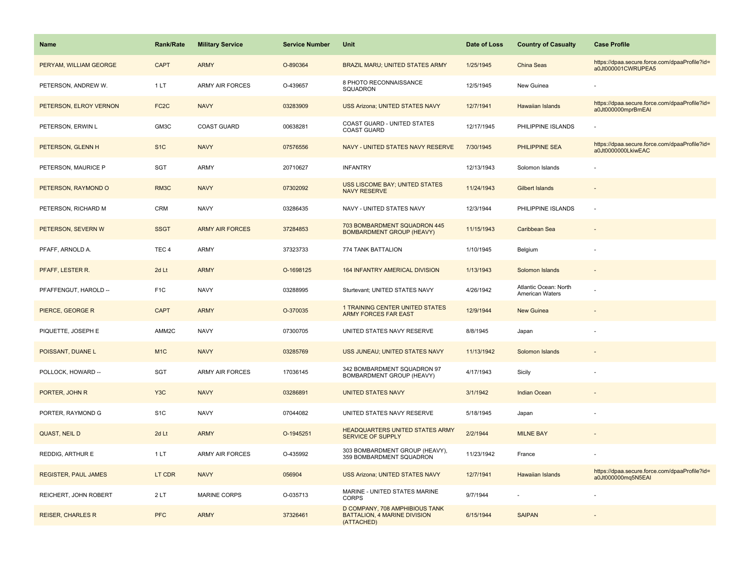| <b>Name</b>                 | <b>Rank/Rate</b>  | <b>Military Service</b> | <b>Service Number</b> | Unit                                                                                | Date of Loss | <b>Country of Casualty</b>               | <b>Case Profile</b>                                                 |
|-----------------------------|-------------------|-------------------------|-----------------------|-------------------------------------------------------------------------------------|--------------|------------------------------------------|---------------------------------------------------------------------|
| PERYAM, WILLIAM GEORGE      | <b>CAPT</b>       | <b>ARMY</b>             | O-890364              | BRAZIL MARU; UNITED STATES ARMY                                                     | 1/25/1945    | China Seas                               | https://dpaa.secure.force.com/dpaaProfile?id=<br>a0Jt000001CWRUPEA5 |
| PETERSON, ANDREW W.         | 1LT               | <b>ARMY AIR FORCES</b>  | O-439657              | 8 PHOTO RECONNAISSANCE<br>SQUADRON                                                  | 12/5/1945    | New Guinea                               |                                                                     |
| PETERSON, ELROY VERNON      | FC <sub>2</sub> C | <b>NAVY</b>             | 03283909              | <b>USS Arizona; UNITED STATES NAVY</b>                                              | 12/7/1941    | Hawaiian Islands                         | https://dpaa.secure.force.com/dpaaProfile?id=<br>a0Jt000000mprBmEAI |
| PETERSON, ERWIN L           | GM3C              | <b>COAST GUARD</b>      | 00638281              | COAST GUARD - UNITED STATES<br><b>COAST GUARD</b>                                   | 12/17/1945   | PHILIPPINE ISLANDS                       |                                                                     |
| PETERSON, GLENN H           | S <sub>1C</sub>   | <b>NAVY</b>             | 07576556              | NAVY - UNITED STATES NAVY RESERVE                                                   | 7/30/1945    | PHILIPPINE SEA                           | https://dpaa.secure.force.com/dpaaProfile?id=<br>a0Jt0000000LkiwEAC |
| PETERSON, MAURICE P         | SGT               | <b>ARMY</b>             | 20710627              | <b>INFANTRY</b>                                                                     | 12/13/1943   | Solomon Islands                          |                                                                     |
| PETERSON, RAYMOND O         | RM3C              | <b>NAVY</b>             | 07302092              | <b>USS LISCOME BAY; UNITED STATES</b><br><b>NAVY RESERVE</b>                        | 11/24/1943   | Gilbert Islands                          |                                                                     |
| PETERSON, RICHARD M         | <b>CRM</b>        | <b>NAVY</b>             | 03286435              | NAVY - UNITED STATES NAVY                                                           | 12/3/1944    | PHILIPPINE ISLANDS                       |                                                                     |
| PETERSON, SEVERN W          | <b>SSGT</b>       | <b>ARMY AIR FORCES</b>  | 37284853              | 703 BOMBARDMENT SQUADRON 445<br><b>BOMBARDMENT GROUP (HEAVY)</b>                    | 11/15/1943   | Caribbean Sea                            |                                                                     |
| PFAFF, ARNOLD A.            | TEC <sub>4</sub>  | <b>ARMY</b>             | 37323733              | 774 TANK BATTALION                                                                  | 1/10/1945    | Belgium                                  |                                                                     |
| PFAFF, LESTER R.            | 2d Lt             | <b>ARMY</b>             | O-1698125             | 164 INFANTRY AMERICAL DIVISION                                                      | 1/13/1943    | Solomon Islands                          |                                                                     |
| PFAFFENGUT, HAROLD --       | F <sub>1C</sub>   | <b>NAVY</b>             | 03288995              | Sturtevant; UNITED STATES NAVY                                                      | 4/26/1942    | Atlantic Ocean: North<br>American Waters |                                                                     |
| PIERCE, GEORGE R            | <b>CAPT</b>       | <b>ARMY</b>             | O-370035              | <b>1 TRAINING CENTER UNITED STATES</b><br><b>ARMY FORCES FAR EAST</b>               | 12/9/1944    | <b>New Guinea</b>                        |                                                                     |
| PIQUETTE, JOSEPH E          | AMM2C             | <b>NAVY</b>             | 07300705              | UNITED STATES NAVY RESERVE                                                          | 8/8/1945     | Japan                                    |                                                                     |
| POISSANT, DUANE L           | M <sub>1C</sub>   | <b>NAVY</b>             | 03285769              | USS JUNEAU; UNITED STATES NAVY                                                      | 11/13/1942   | Solomon Islands                          |                                                                     |
| POLLOCK, HOWARD --          | <b>SGT</b>        | ARMY AIR FORCES         | 17036145              | 342 BOMBARDMENT SQUADRON 97<br>BOMBARDMENT GROUP (HEAVY)                            | 4/17/1943    | Sicily                                   |                                                                     |
| PORTER, JOHN R              | Y <sub>3</sub> C  | <b>NAVY</b>             | 03286891              | <b>UNITED STATES NAVY</b>                                                           | 3/1/1942     | Indian Ocean                             |                                                                     |
| PORTER, RAYMOND G           | S <sub>1</sub> C  | <b>NAVY</b>             | 07044082              | UNITED STATES NAVY RESERVE                                                          | 5/18/1945    | Japan                                    |                                                                     |
| <b>QUAST, NEIL D</b>        | 2d Lt             | <b>ARMY</b>             | O-1945251             | HEADQUARTERS UNITED STATES ARMY<br><b>SERVICE OF SUPPLY</b>                         | 2/2/1944     | <b>MILNE BAY</b>                         |                                                                     |
| REDDIG, ARTHUR E            | 1LT               | <b>ARMY AIR FORCES</b>  | O-435992              | 303 BOMBARDMENT GROUP (HEAVY),<br>359 BOMBARDMENT SQUADRON                          | 11/23/1942   | France                                   |                                                                     |
| <b>REGISTER, PAUL JAMES</b> | LT CDR            | <b>NAVY</b>             | 056904                | <b>USS Arizona; UNITED STATES NAVY</b>                                              | 12/7/1941    | <b>Hawaiian Islands</b>                  | https://dpaa.secure.force.com/dpaaProfile?id=<br>a0Jt000000mq5N5EAI |
| REICHERT, JOHN ROBERT       | 2LT               | <b>MARINE CORPS</b>     | O-035713              | MARINE - UNITED STATES MARINE<br><b>CORPS</b>                                       | 9/7/1944     |                                          |                                                                     |
| <b>REISER, CHARLES R</b>    | <b>PFC</b>        | <b>ARMY</b>             | 37326461              | D COMPANY, 708 AMPHIBIOUS TANK<br><b>BATTALION, 4 MARINE DIVISION</b><br>(ATTACHED) | 6/15/1944    | <b>SAIPAN</b>                            |                                                                     |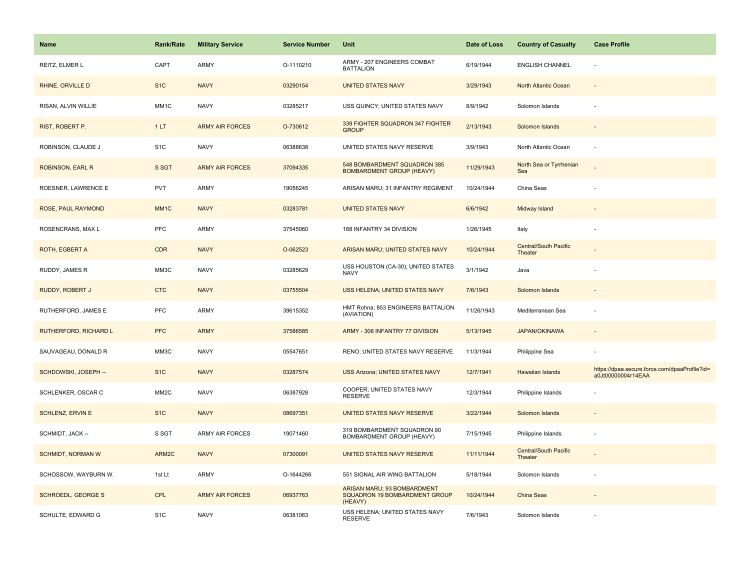| <b>Name</b>               | <b>Rank/Rate</b>  | <b>Military Service</b> | <b>Service Number</b> | Unit                                                                    | Date of Loss | <b>Country of Casualty</b>       | <b>Case Profile</b>                                                 |
|---------------------------|-------------------|-------------------------|-----------------------|-------------------------------------------------------------------------|--------------|----------------------------------|---------------------------------------------------------------------|
| REITZ, ELMER L            | CAPT              | <b>ARMY</b>             | O-1110210             | ARMY - 207 ENGINEERS COMBAT<br><b>BATTALION</b>                         | 6/19/1944    | <b>ENGLISH CHANNEL</b>           | $\sim$                                                              |
| RHINE, ORVILLE D          | S <sub>1</sub> C  | <b>NAVY</b>             | 03290154              | <b>UNITED STATES NAVY</b>                                               | 3/29/1943    | North Atlantic Ocean             | $\sim$                                                              |
| RISAN, ALVIN WILLIE       | MM1C              | <b>NAVY</b>             | 03285217              | USS QUINCY; UNITED STATES NAVY                                          | 8/9/1942     | Solomon Islands                  |                                                                     |
| RIST, ROBERT P.           | 1LT               | <b>ARMY AIR FORCES</b>  | O-730612              | 339 FIGHTER SQUADRON 347 FIGHTER<br><b>GROUP</b>                        | 2/13/1943    | Solomon Islands                  |                                                                     |
| ROBINSON, CLAUDE J        | S <sub>1</sub> C  | <b>NAVY</b>             | 06388638              | UNITED STATES NAVY RESERVE                                              | 3/9/1943     | North Atlantic Ocean             |                                                                     |
| ROBINSON, EARL R          | S SGT             | <b>ARMY AIR FORCES</b>  | 37094335              | 548 BOMBARDMENT SQUADRON 385<br><b>BOMBARDMENT GROUP (HEAVY)</b>        | 11/29/1943   | North Sea or Tyrrhenian<br>Sea   |                                                                     |
| ROESNER, LAWRENCE E       | <b>PVT</b>        | <b>ARMY</b>             | 19056245              | ARISAN MARU; 31 INFANTRY REGIMENT                                       | 10/24/1944   | China Seas                       |                                                                     |
| ROSE, PAUL RAYMOND        | MM <sub>1C</sub>  | <b>NAVY</b>             | 03283781              | <b>UNITED STATES NAVY</b>                                               | 6/6/1942     | Midway Island                    |                                                                     |
| ROSENCRANS, MAX L         | <b>PFC</b>        | ARMY                    | 37545060              | 168 INFANTRY 34 DIVISION                                                | 1/26/1945    | Italy                            |                                                                     |
| ROTH, EGBERT A            | <b>CDR</b>        | <b>NAVY</b>             | O-062523              | ARISAN MARU; UNITED STATES NAVY                                         | 10/24/1944   | Central/South Pacific<br>Theater |                                                                     |
| RUDDY, JAMES R            | MM3C              | <b>NAVY</b>             | 03285629              | USS HOUSTON (CA-30); UNITED STATES<br><b>NAVY</b>                       | 3/1/1942     | Java                             |                                                                     |
| RUDDY, ROBERT J           | <b>CTC</b>        | <b>NAVY</b>             | 03755504              | USS HELENA; UNITED STATES NAVY                                          | 7/6/1943     | Solomon Islands                  |                                                                     |
| RUTHERFORD, JAMES E       | PFC               | <b>ARMY</b>             | 39615352              | HMT Rohna; 853 ENGINEERS BATTALION<br>(AVIATION)                        | 11/26/1943   | Mediterranean Sea                |                                                                     |
| RUTHERFORD, RICHARD L     | <b>PFC</b>        | <b>ARMY</b>             | 37586585              | ARMY - 306 INFANTRY 77 DIVISION                                         | 5/13/1945    | <b>JAPAN/OKINAWA</b>             | $\overline{\phantom{a}}$                                            |
| SAUVAGEAU, DONALD R       | MM3C              | <b>NAVY</b>             | 05547651              | RENO; UNITED STATES NAVY RESERVE                                        | 11/3/1944    | Philippine Sea                   |                                                                     |
| SCHDOWSKI, JOSEPH --      | S <sub>1</sub> C  | <b>NAVY</b>             | 03287574              | USS Arizona; UNITED STATES NAVY                                         | 12/7/1941    | <b>Hawaiian Islands</b>          | https://dpaa.secure.force.com/dpaaProfile?id=<br>a0Jt00000004r14EAA |
| SCHLENKER, OSCAR C        | MM <sub>2</sub> C | <b>NAVY</b>             | 06387928              | COOPER; UNITED STATES NAVY<br><b>RESERVE</b>                            | 12/3/1944    | Philippine Islands               |                                                                     |
| <b>SCHLENZ, ERVIN E</b>   | S <sub>1C</sub>   | <b>NAVY</b>             | 08697351              | UNITED STATES NAVY RESERVE                                              | 3/22/1944    | Solomon Islands                  |                                                                     |
| SCHMIDT, JACK --          | S SGT             | ARMY AIR FORCES         | 19071460              | 319 BOMBARDMENT SQUADRON 90<br>BOMBARDMENT GROUP (HEAVY)                | 7/15/1945    | Philippine Islands               |                                                                     |
| <b>SCHMIDT, NORMAN W</b>  | ARM2C             | <b>NAVY</b>             | 07300091              | UNITED STATES NAVY RESERVE                                              | 11/11/1944   | Central/South Pacific<br>Theater |                                                                     |
| SCHOSSOW, WAYBURN W.      | 1st Lt            | ARMY                    | O-1644266             | 551 SIGNAL AIR WING BATTALION                                           | 5/18/1944    | Solomon Islands                  |                                                                     |
| <b>SCHROEDL, GEORGE S</b> | <b>CPL</b>        | <b>ARMY AIR FORCES</b>  | 06937763              | ARISAN MARU; 93 BOMBARDMENT<br>SQUADRON 19 BOMBARDMENT GROUP<br>(HEAVY) | 10/24/1944   | China Seas                       |                                                                     |
| SCHULTE, EDWARD G         | S <sub>1</sub> C  | <b>NAVY</b>             | 06381063              | USS HELENA; UNITED STATES NAVY<br><b>RESERVE</b>                        | 7/6/1943     | Solomon Islands                  |                                                                     |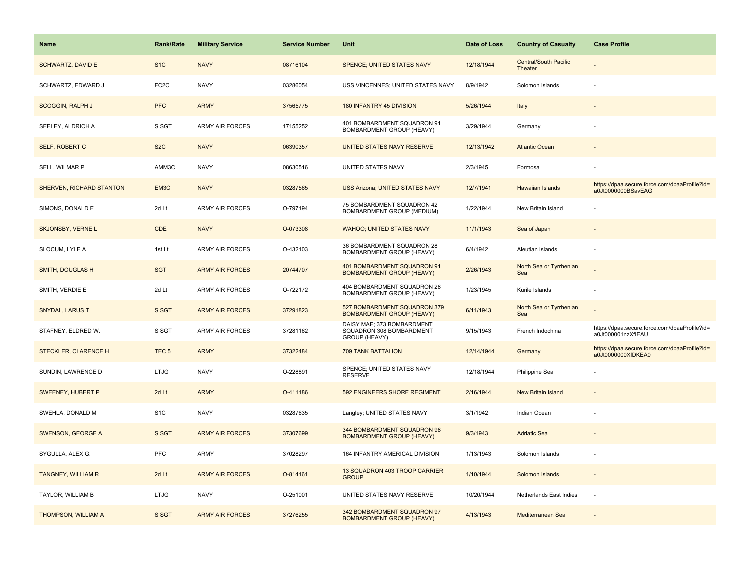| <b>Name</b>                     | <b>Rank/Rate</b>  | <b>Military Service</b> | <b>Service Number</b> | Unit                                                                    | Date of Loss | <b>Country of Casualty</b>              | <b>Case Profile</b>                                                 |
|---------------------------------|-------------------|-------------------------|-----------------------|-------------------------------------------------------------------------|--------------|-----------------------------------------|---------------------------------------------------------------------|
| <b>SCHWARTZ, DAVID E</b>        | S <sub>1</sub> C  | <b>NAVY</b>             | 08716104              | SPENCE; UNITED STATES NAVY                                              | 12/18/1944   | <b>Central/South Pacific</b><br>Theater |                                                                     |
| SCHWARTZ, EDWARD J              | FC <sub>2</sub> C | <b>NAVY</b>             | 03286054              | USS VINCENNES; UNITED STATES NAVY                                       | 8/9/1942     | Solomon Islands                         |                                                                     |
| <b>SCOGGIN, RALPH J</b>         | <b>PFC</b>        | <b>ARMY</b>             | 37565775              | 180 INFANTRY 45 DIVISION                                                | 5/26/1944    | Italy                                   |                                                                     |
| SEELEY, ALDRICH A               | S SGT             | <b>ARMY AIR FORCES</b>  | 17155252              | 401 BOMBARDMENT SQUADRON 91<br>BOMBARDMENT GROUP (HEAVY)                | 3/29/1944    | Germany                                 |                                                                     |
| SELF, ROBERT C                  | S <sub>2</sub> C  | <b>NAVY</b>             | 06390357              | UNITED STATES NAVY RESERVE                                              | 12/13/1942   | <b>Atlantic Ocean</b>                   |                                                                     |
| SELL, WILMAR P                  | AMM3C             | <b>NAVY</b>             | 08630516              | UNITED STATES NAVY                                                      | 2/3/1945     | Formosa                                 |                                                                     |
| <b>SHERVEN, RICHARD STANTON</b> | EM3C              | <b>NAVY</b>             | 03287565              | <b>USS Arizona; UNITED STATES NAVY</b>                                  | 12/7/1941    | <b>Hawaiian Islands</b>                 | https://dpaa.secure.force.com/dpaaProfile?id=<br>a0Jt0000000BSavEAG |
| SIMONS, DONALD E                | 2d Lt             | <b>ARMY AIR FORCES</b>  | O-797194              | 75 BOMBARDMENT SQUADRON 42<br>BOMBARDMENT GROUP (MEDIUM)                | 1/22/1944    | New Britain Island                      |                                                                     |
| <b>SKJONSBY, VERNE L</b>        | <b>CDE</b>        | <b>NAVY</b>             | O-073308              | <b>WAHOO; UNITED STATES NAVY</b>                                        | 11/1/1943    | Sea of Japan                            |                                                                     |
| SLOCUM, LYLE A                  | 1st Lt            | <b>ARMY AIR FORCES</b>  | O-432103              | 36 BOMBARDMENT SQUADRON 28<br>BOMBARDMENT GROUP (HEAVY)                 | 6/4/1942     | Aleutian Islands                        |                                                                     |
| SMITH, DOUGLAS H                | <b>SGT</b>        | <b>ARMY AIR FORCES</b>  | 20744707              | 401 BOMBARDMENT SQUADRON 91<br><b>BOMBARDMENT GROUP (HEAVY)</b>         | 2/26/1943    | North Sea or Tyrrhenian<br>Sea          |                                                                     |
| SMITH, VERDIE E                 | 2d Lt             | <b>ARMY AIR FORCES</b>  | O-722172              | 404 BOMBARDMENT SQUADRON 28<br>BOMBARDMENT GROUP (HEAVY)                | 1/23/1945    | Kurile Islands                          |                                                                     |
| <b>SNYDAL, LARUS T</b>          | S SGT             | <b>ARMY AIR FORCES</b>  | 37291823              | 527 BOMBARDMENT SQUADRON 379<br><b>BOMBARDMENT GROUP (HEAVY)</b>        | 6/11/1943    | North Sea or Tyrrhenian<br>Sea          |                                                                     |
| STAFNEY, ELDRED W.              | S SGT             | <b>ARMY AIR FORCES</b>  | 37281162              | DAISY MAE; 373 BOMBARDMENT<br>SQUADRON 308 BOMBARDMENT<br>GROUP (HEAVY) | 9/15/1943    | French Indochina                        | https://dpaa.secure.force.com/dpaaProfile?id=<br>a0Jt000001nzXfIEAU |
| STECKLER, CLARENCE H            | TEC <sub>5</sub>  | <b>ARMY</b>             | 37322484              | 709 TANK BATTALION                                                      | 12/14/1944   | Germany                                 | https://dpaa.secure.force.com/dpaaProfile?id=<br>a0Jt0000000XfDKEA0 |
| SUNDIN, LAWRENCE D              | <b>LTJG</b>       | <b>NAVY</b>             | O-228891              | SPENCE; UNITED STATES NAVY<br><b>RESERVE</b>                            | 12/18/1944   | Philippine Sea                          |                                                                     |
| SWEENEY, HUBERT P               | 2d Lt             | <b>ARMY</b>             | O-411186              | 592 ENGINEERS SHORE REGIMENT                                            | 2/16/1944    | <b>New Britain Island</b>               |                                                                     |
| SWEHLA, DONALD M                | S <sub>1</sub> C  | <b>NAVY</b>             | 03287635              | Langley; UNITED STATES NAVY                                             | 3/1/1942     | Indian Ocean                            |                                                                     |
| <b>SWENSON, GEORGE A</b>        | S SGT             | <b>ARMY AIR FORCES</b>  | 37307699              | 344 BOMBARDMENT SQUADRON 98<br><b>BOMBARDMENT GROUP (HEAVY)</b>         | 9/3/1943     | <b>Adriatic Sea</b>                     |                                                                     |
| SYGULLA, ALEX G.                | <b>PFC</b>        | <b>ARMY</b>             | 37028297              | 164 INFANTRY AMERICAL DIVISION                                          | 1/13/1943    | Solomon Islands                         |                                                                     |
| <b>TANGNEY, WILLIAM R</b>       | 2d Lt             | <b>ARMY AIR FORCES</b>  | O-814161              | 13 SQUADRON 403 TROOP CARRIER<br><b>GROUP</b>                           | 1/10/1944    | Solomon Islands                         | $\sim$                                                              |
| TAYLOR, WILLIAM B               | <b>LTJG</b>       | <b>NAVY</b>             | O-251001              | UNITED STATES NAVY RESERVE                                              | 10/20/1944   | Netherlands East Indies                 | ×.                                                                  |
| THOMPSON, WILLIAM A             | S SGT             | <b>ARMY AIR FORCES</b>  | 37276255              | 342 BOMBARDMENT SQUADRON 97<br><b>BOMBARDMENT GROUP (HEAVY)</b>         | 4/13/1943    | Mediterranean Sea                       |                                                                     |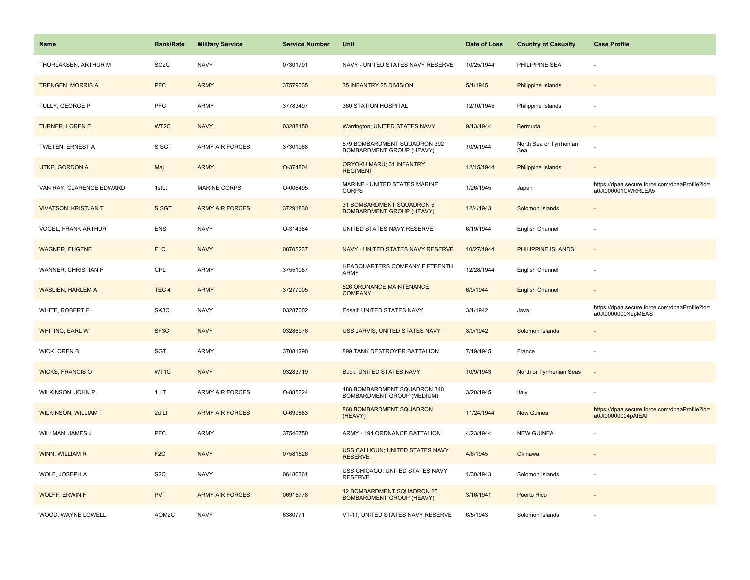| <b>Name</b>                  | <b>Rank/Rate</b>  | <b>Military Service</b> | <b>Service Number</b> | Unit                                                           | Date of Loss | <b>Country of Casualty</b>     | <b>Case Profile</b>                                                 |
|------------------------------|-------------------|-------------------------|-----------------------|----------------------------------------------------------------|--------------|--------------------------------|---------------------------------------------------------------------|
| THORLAKSEN, ARTHUR M         | SC <sub>2</sub> C | <b>NAVY</b>             | 07301701              | NAVY - UNITED STATES NAVY RESERVE                              | 10/25/1944   | PHILIPPINE SEA                 |                                                                     |
| TRENGEN, MORRIS A.           | <b>PFC</b>        | <b>ARMY</b>             | 37579035              | 35 INFANTRY 25 DIVISION                                        | 5/1/1945     | <b>Philippine Islands</b>      |                                                                     |
| TULLY, GEORGE P              | <b>PFC</b>        | <b>ARMY</b>             | 37783497              | 360 STATION HOSPITAL                                           | 12/10/1945   | Philippine Islands             |                                                                     |
| <b>TURNER, LOREN E</b>       | WT <sub>2</sub> C | <b>NAVY</b>             | 03288150              | Warrington; UNITED STATES NAVY                                 | 9/13/1944    | Bermuda                        |                                                                     |
| TWETEN, ERNEST A             | S SGT             | <b>ARMY AIR FORCES</b>  | 37301968              | 579 BOMBARDMENT SQUADRON 392<br>BOMBARDMENT GROUP (HEAVY)      | 10/9/1944    | North Sea or Tyrrhenian<br>Sea |                                                                     |
| UTKE, GORDON A               | Maj               | <b>ARMY</b>             | O-374804              | ORYOKU MARU; 31 INFANTRY<br><b>REGIMENT</b>                    | 12/15/1944   | Philippine Islands             |                                                                     |
| VAN RAY, CLARENCE EDWARD     | 1stLt             | MARINE CORPS            | O-006495              | MARINE - UNITED STATES MARINE<br><b>CORPS</b>                  | 1/26/1945    | Japan                          | https://dpaa.secure.force.com/dpaaProfile?id=<br>a0Jt000001CWRRLEA5 |
| <b>VIVATSON, KRISTJAN T.</b> | S SGT             | <b>ARMY AIR FORCES</b>  | 37291830              | 31 BOMBARDMENT SQUADRON 5<br><b>BOMBARDMENT GROUP (HEAVY)</b>  | 12/4/1943    | Solomon Islands                |                                                                     |
| VOGEL, FRANK ARTHUR          | <b>ENS</b>        | <b>NAVY</b>             | O-314384              | UNITED STATES NAVY RESERVE                                     | 6/19/1944    | English Channel                |                                                                     |
| <b>WAGNER, EUGENE</b>        | F <sub>1C</sub>   | <b>NAVY</b>             | 08705237              | NAVY - UNITED STATES NAVY RESERVE                              | 10/27/1944   | PHILIPPINE ISLANDS             |                                                                     |
| WANNER, CHRISTIAN F          | CPL               | <b>ARMY</b>             | 37551087              | HEADQUARTERS COMPANY FIFTEENTH<br>ARMY                         | 12/28/1944   | English Channel                |                                                                     |
| <b>WASLIEN, HARLEM A</b>     | TEC <sub>4</sub>  | <b>ARMY</b>             | 37277005              | 526 ORDNANCE MAINTENANCE<br><b>COMPANY</b>                     | 6/9/1944     | <b>English Channel</b>         |                                                                     |
| WHITE, ROBERT F              | SK3C              | <b>NAVY</b>             | 03287002              | Edsall; UNITED STATES NAVY                                     | 3/1/1942     | Java                           | https://dpaa.secure.force.com/dpaaProfile?id=<br>a0Jt0000000XepMEAS |
| <b>WHITING, EARL W</b>       | SF <sub>3</sub> C | <b>NAVY</b>             | 03286976              | USS JARVIS; UNITED STATES NAVY                                 | 8/9/1942     | Solomon Islands                |                                                                     |
| WICK, OREN B                 | SGT               | <b>ARMY</b>             | 37081290              | 899 TANK DESTROYER BATTALION                                   | 7/19/1945    | France                         |                                                                     |
| <b>WICKS, FRANCIS O</b>      | WT1C              | <b>NAVY</b>             | 03283719              | <b>Buck; UNITED STATES NAVY</b>                                | 10/9/1943    | North or Tyrrhenian Seas       |                                                                     |
| WILKINSON, JOHN P.           | 1LT               | ARMY AIR FORCES         | O-885324              | 488 BOMBARDMENT SQUADRON 340<br>BOMBARDMENT GROUP (MEDIUM)     | 3/20/1945    | Italy                          |                                                                     |
| <b>WILKINSON, WILLIAM T</b>  | 2d Lt             | <b>ARMY AIR FORCES</b>  | O-699883              | 868 BOMBARDMENT SQUADRON<br>(HEAVY)                            | 11/24/1944   | <b>New Guinea</b>              | https://dpaa.secure.force.com/dpaaProfile?id=<br>a0Jt00000004pAfEAI |
| WILLMAN, JAMES J             | PFC               | <b>ARMY</b>             | 37546750              | ARMY - 194 ORDNANCE BATTALION                                  | 4/23/1944    | <b>NEW GUINEA</b>              |                                                                     |
| <b>WINN, WILLIAM R</b>       | F <sub>2C</sub>   | <b>NAVY</b>             | 07581526              | USS CALHOUN; UNITED STATES NAVY<br><b>RESERVE</b>              | 4/6/1945     | Okinawa                        |                                                                     |
| WOLF, JOSEPH A               | S <sub>2</sub> C  | <b>NAVY</b>             | 06186361              | USS CHICAGO; UNITED STATES NAVY<br><b>RESERVE</b>              | 1/30/1943    | Solomon Islands                |                                                                     |
| <b>WOLFF, ERWIN F</b>        | <b>PVT</b>        | <b>ARMY AIR FORCES</b>  | 06915778              | 12 BOMBARDMENT SQUADRON 25<br><b>BOMBARDMENT GROUP (HEAVY)</b> | 3/16/1941    | <b>Puerto Rico</b>             |                                                                     |
| WOOD, WAYNE LOWELL           | AOM2C             | <b>NAVY</b>             | 6380771               | VT-11, UNITED STATES NAVY RESERVE                              | 6/5/1943     | Solomon Islands                |                                                                     |